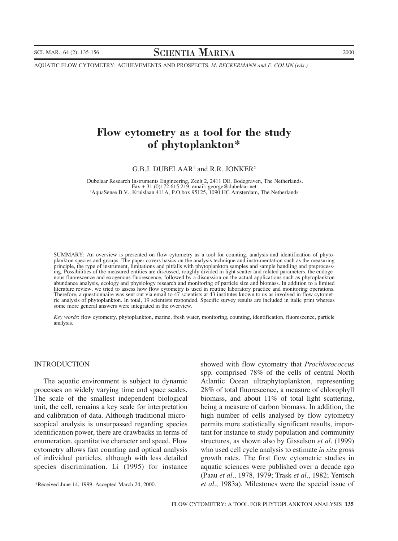SCI. MAR., 64 (2): 135-156 SCIENTIA MARINA 2000

AQUATIC FLOW CYTOMETRY: ACHIEVEMENTS AND PROSPECTS. *M. RECKERMANN and F. COLIJN (eds.)*

# **Flow cytometry as a tool for the study of phytoplankton\***

G.B.J. DUBELAAR<sup>1</sup> and R.R. JONKER<sup>2</sup>

1 Dubelaar Research Instruments Engineering, Zeelt 2, 2411 DE, Bodegraven, The Netherlands. Fax + 31 (0)172 615 219. email: george@dubelaar.net <sup>2</sup> <sup>2</sup>AquaSense B.V., Kruislaan 411A, P.O.box 95125, 1090 HC Amsterdam, The Netherlands

SUMMARY: An overview is presented on flow cytometry as a tool for counting, analysis and identification of phytoplankton species and groups. The paper covers basics on the analysis technique and instrumentation such as the measuring principle, the type of instrument, limitations and pitfalls with phytoplankton samples and sample handling and preprocessing. Possibilities of the measured entities are discussed, roughly divided in light scatter and related parameters, the endogenous fluorescence and exogenous fluorescence, followed by a discussion on the actual applications such as phytoplankton abundance analysis, ecology and physiology research and monitoring of particle size and biomass. In addition to a limited literature review, we tried to assess how flow cytometry is used in routine laboratory practice and monitoring operations. Therefore, a questionnaire was sent out via email to 47 scientists at 43 institutes known to us as involved in flow cytometric analysis of phytoplankton. In total, 19 scientists responded. Specific survey results are included in italic print whereas some more general answers were integrated in the overview.

*Key words*: flow cytometry, phytoplankton, marine, fresh water, monitoring, counting, identification, fluorescence, particle analysis.

#### INTRODUCTION

The aquatic environment is subject to dynamic processes on widely varying time and space scales. The scale of the smallest independent biological unit, the cell, remains a key scale for interpretation and calibration of data. Although traditional microscopical analysis is unsurpassed regarding species identification power, there are drawbacks in terms of enumeration, quantitative character and speed. Flow cytometry allows fast counting and optical analysis of individual particles, although with less detailed species discrimination. Li (1995) for instance

\*Received June 14, 1999. Accepted March 24, 2000.

showed with flow cytometry that *Prochlorococcus* spp. comprised 78% of the cells of central North Atlantic Ocean ultraphytoplankton, representing 28% of total fluorescence, a measure of chlorophyll biomass, and about 11% of total light scattering, being a measure of carbon biomass. In addition, the high number of cells analysed by flow cytometry permits more statistically significant results, important for instance to study population and community structures, as shown also by Gisselson *et al.* (1999) who used cell cycle analysis to estimate *in situ* gross growth rates. The first flow cytometric studies in aquatic sciences were published over a decade ago (Paau *et al.*, 1978, 1979; Trask *et al.*, 1982; Yentsch *et al.*, 1983a). Milestones were the special issue of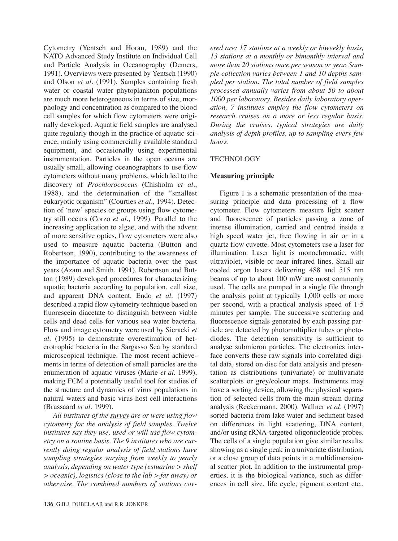Cytometry (Yentsch and Horan, 1989) and the NATO Advanced Study Institute on Individual Cell and Particle Analysis in Oceanography (Demers, 1991). Overviews were presented by Yentsch (1990) and Olson *et al.* (1991). Samples containing fresh water or coastal water phytoplankton populations are much more heterogeneous in terms of size, morphology and concentration as compared to the blood cell samples for which flow cytometers were originally developed. Aquatic field samples are analysed quite regularly though in the practice of aquatic science, mainly using commercially available standard equipment, and occasionally using experimental instrumentation. Particles in the open oceans are usually small, allowing oceanographers to use flow cytometers without many problems, which led to the discovery of *Prochlorococcus* (Chisholm *et al.*, 1988), and the determination of the "smallest eukaryotic organism" (Courties *et al.*, 1994). Detection of 'new' species or groups using flow cytometry still occurs (Corzo *et al.*, 1999). Parallel to the increasing application to algae, and with the advent of more sensitive optics, flow cytometers were also used to measure aquatic bacteria (Button and Robertson, 1990), contributing to the awareness of the importance of aquatic bacteria over the past years (Azam and Smith, 1991). Robertson and Button (1989) developed procedures for characterizing aquatic bacteria according to population, cell size, and apparent DNA content. Endo *et al.* (1997) described a rapid flow cytometry technique based on fluorescein diacetate to distinguish between viable cells and dead cells for various sea water bacteria. Flow and image cytometry were used by Sieracki *et al.* (1995) to demonstrate overestimation of heterotrophic bacteria in the Sargasso Sea by standard microscopical technique. The most recent achievements in terms of detection of small particles are the enumeration of aquatic viruses (Marie *et al.* 1999), making FCM a potentially useful tool for studies of the structure and dynamics of virus populations in natural waters and basic virus-host cell interactions (Brussaard *et al.* 1999).

*All institutes of the survey are or were using flow cytometry for the analysis of field samples. Twelve institutes say they use, used or will use flow cytometry on a routine basis. The 9 institutes who are currently doing regular analysis of field stations have sampling strategies varying from weekly to yearly analysis, depending on water type (estuarine > shelf > oceanic), logistics (close to the lab > far away) or otherwise. The combined numbers of stations cov-* *ered are: 17 stations at a weekly or biweekly basis, 13 stations at a monthly or bimonthly interval and more than 20 stations once per season or year. Sample collection varies between 1 and 10 depths sampled per station. The total number of field samples processed annually varies from about 50 to about 1000 per laboratory. Besides daily laboratory operation, 7 institutes employ the flow cytometers on research cruises on a more or less regular basis. During the cruises, typical strategies are daily analysis of depth profiles, up to sampling every few hours.*

## **TECHNOLOGY**

## **Measuring principle**

Figure 1 is a schematic presentation of the measuring principle and data processing of a flow cytometer. Flow cytometers measure light scatter and fluorescence of particles passing a zone of intense illumination, carried and centred inside a high speed water jet, free flowing in air or in a quartz flow cuvette. Most cytometers use a laser for illumination. Laser light is monochromatic, with ultraviolet, visible or near infrared lines. Small air cooled argon lasers delivering 488 and 515 nm beams of up to about 100 mW are most commonly used. The cells are pumped in a single file through the analysis point at typically 1,000 cells or more per second, with a practical analysis speed of 1-5 minutes per sample. The successive scattering and fluorescence signals generated by each passing particle are detected by photomultiplier tubes or photodiodes. The detection sensitivity is sufficient to analyse submicron particles. The electronics interface converts these raw signals into correlated digital data, stored on disc for data analysis and presentation as distributions (univariate) or multivariate scatterplots or grey/colour maps. Instruments may have a sorting device, allowing the physical separation of selected cells from the main stream during analysis (Reckermann, 2000). Wallner *et al.* (1997) sorted bacteria from lake water and sediment based on differences in light scattering, DNA content, and/or using rRNA-targeted oligonucleotide probes. The cells of a single population give similar results, showing as a single peak in a univariate distribution, or a close group of data points in a multidimensional scatter plot. In addition to the instrumental properties, it is the biological variance, such as differences in cell size, life cycle, pigment content etc.,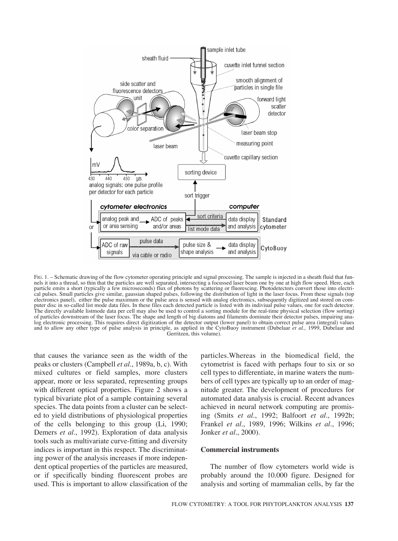

FIG. 1. – Schematic drawing of the flow cytometer operating principle and signal processing. The sample is injected in a sheath fluid that funnels it into a thread, so thin that the particles are well separated, intersecting a focussed laser beam one by one at high flow speed. Here, each particle emits a short (typically a few microseconds) flux of photons by scattering or fluorescing. Photodetectors convert those into electrical pulses. Small particles give similar, gaussian shaped pulses, following the distribution of light in the laser focus. From these signals (top electronics panel), either the pulse maximum or the pulse area is sensed with analog electronics, subsequently digitized and stored on computer disc in so-called list mode data files. In these files each detected particle is listed with its indiviual pulse values, one for each detector. The directly available listmode data per cell may also be used to control a sorting module for the real-time physical selection (flow sorting) of particles downstream of the laser focus. The shape and length of big diatoms and filaments dominate their detector pulses, impairing analog electronic processing. This requires direct digitization of the detector output (lower panel) to obtain correct pulse area (integral) values and to allow any other type of pulse analysis in principle, as applied in the CytoBuoy instrument (Dubelaar *et al.,* 1999, Dubelaar and Gerritzen, this volume).

that causes the variance seen as the width of the peaks or clusters (Campbell *et al.*, 1989a, b, c). With mixed cultures or field samples, more clusters appear, more or less separated, representing groups with different optical properties. Figure 2 shows a typical bivariate plot of a sample containing several species. The data points from a cluster can be selected to yield distributions of physiological properties of the cells belonging to this group (Li, 1990; Demers *et al.*, 1992). Exploration of data analysis tools such as multivariate curve-fitting and diversity indices is important in this respect. The discriminating power of the analysis increases if more independent optical properties of the particles are measured, or if specifically binding fluorescent probes are used. This is important to allow classification of the

particles.Whereas in the biomedical field, the cytometrist is faced with perhaps four to six or so cell types to differentiate, in marine waters the numbers of cell types are typically up to an order of magnitude greater. The development of procedures for automated data analysis is crucial. Recent advances achieved in neural network computing are promising (Smits *et al.*, 1992; Balfoort *et al.*, 1992b; Frankel *et al.*, 1989, 1996; Wilkins *et al.*, 1996; Jonker *et al.*, 2000).

## **Commercial instruments**

The number of flow cytometers world wide is probably around the 10.000 figure. Designed for analysis and sorting of mammalian cells, by far the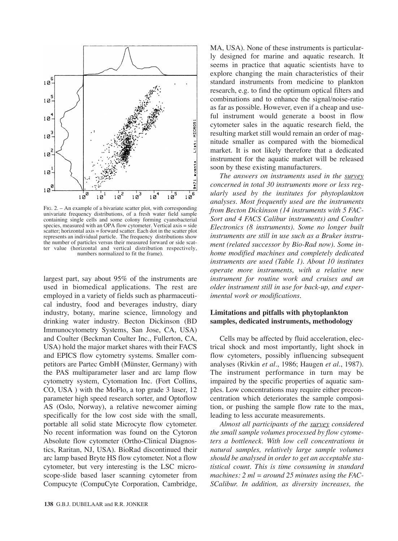

FIG. 2. – An example of a bivariate scatter plot, with corresponding univariate frequency distributions, of a fresh water field sample containing single cells and some colony forming cyanobacterial species, measured with an OPA flow cytometer. Vertical axis = side  $s$ catter; horizontal axis = forward scatter. Each dot in the scatter plot represents an individual particle. The frequency distributions show the number of particles versus their measured forward or side scatter value (horizontal and vertical distribution respectively, numbers normalized to fit the frame).

largest part, say about 95% of the instruments are used in biomedical applications. The rest are employed in a variety of fields such as pharmaceutical industry, food and beverages industry, diary industry, botany, marine science, limnology and drinking water industry. Becton Dickinson (BD Immunocytometry Systems, San Jose, CA, USA) and Coulter (Beckman Coulter Inc., Fullerton, CA, USA) hold the major market shares with their FACS and EPICS flow cytometry systems. Smaller competitors are Partec GmbH (Münster, Germany) with the PAS multiparameter laser and arc lamp flow cytometry system, Cytomation Inc. (Fort Collins, CO, USA ) with the MoFlo, a top grade 3 laser, 12 parameter high speed research sorter, and Optoflow AS (Oslo, Norway), a relative newcomer aiming specifically for the low cost side with the small, portable all solid state Microcyte flow cytometer. No recent information was found on the Cytoron Absolute flow cytometer (Ortho-Clinical Diagnostics, Raritan, NJ, USA). BioRad discontinued their arc lamp based Bryte HS flow cytometer. Not a flow cytometer, but very interesting is the LSC microscope-slide based laser scanning cytometer from Compucyte (CompuCyte Corporation, Cambridge, MA, USA). None of these instruments is particularly designed for marine and aquatic research. It seems in practice that aquatic scientists have to explore changing the main characteristics of their standard instruments from medicine to plankton research, e.g. to find the optimum optical filters and combinations and to enhance the signal/noise-ratio as far as possible. However, even if a cheap and useful instrument would generate a boost in flow cytometer sales in the aquatic research field, the resulting market still would remain an order of magnitude smaller as compared with the biomedical market. It is not likely therefore that a dedicated instrument for the aquatic market will be released soon by these existing manufacturers.

*The answers on instruments used in the survey concerned in total 30 instruments more or less regularly used by the institutes for phytoplankton analyses. Most frequently used are the instruments from Becton Dickinson (14 instruments with 5 FAC-Sort and 4 FACS Calibur instruments) and Coulter Electronics (8 instruments). Some no longer built instruments are still in use such as a Bruker instrument (related successor by Bio-Rad now). Some inhome modified machines and completely dedicated instruments are used (Table 1). About 10 institutes operate more instruments, with a relative new instrument for routine work and cruises and an older instrument still in use for back-up, and experimental work or modifications.*

# **Limitations and pitfalls with phytoplankton samples, dedicated instruments, methodology**

Cells may be affected by fluid acceleration, electrical shock and most importantly, light shock in flow cytometers, possibly influencing subsequent analyses (Rivkin *et al.*, 1986; Haugen *et al.*, 1987). The instrument performance in turn may be impaired by the specific properties of aquatic samples. Low concentrations may require either preconcentration which deteriorates the sample composition, or pushing the sample flow rate to the max, leading to less accurate measurements.

*Almost all participants of the survey considered the small sample volumes processed by flow cytometers a bottleneck. With low cell concentrations in natural samples, relatively large sample volumes should be analysed in order to get an acceptable statistical count. This is time consuming in standard machines: 2 ml = around 25 minutes using the FAC-SCalibur. In addition, as diversity increases, the*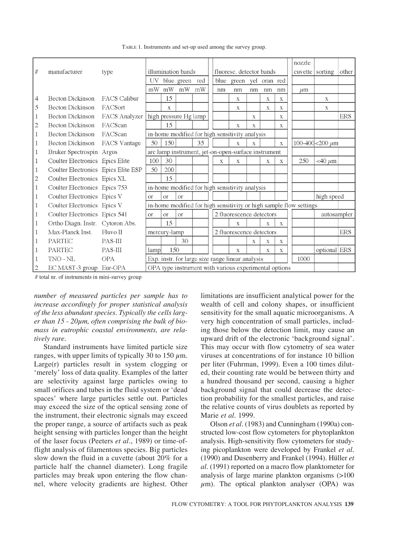|                         |                                     |                     |                                                                    |                                                    |                |     |            |                          |              |              |              |              |                 | nozzle  |                      |            |
|-------------------------|-------------------------------------|---------------------|--------------------------------------------------------------------|----------------------------------------------------|----------------|-----|------------|--------------------------|--------------|--------------|--------------|--------------|-----------------|---------|----------------------|------------|
| #                       | manufacturer                        | type                | illumination bands                                                 |                                                    |                |     |            | fluoresc. detector bands |              |              |              |              | cuvette sorting |         | other                |            |
|                         |                                     |                     | UV-                                                                |                                                    | blue green     | red |            |                          | blue green   | yel          | oran red     |              |                 |         |                      |            |
|                         |                                     |                     | mW                                                                 | mW                                                 | mW             | mW  |            | nm                       | nm           | nm           | nm           | nm           |                 | $\mu$ m |                      |            |
| $\overline{4}$          | Becton Dickinson                    | <b>FACS</b> Calibur |                                                                    | 15                                                 |                |     |            |                          | X            |              | $\mathbf{X}$ | $\mathbf X$  |                 |         | X                    |            |
| 5                       | <b>Becton Dickinson</b>             | FACSort             |                                                                    | $\mathbf{X}$                                       |                |     |            |                          | X            |              | $\mathbf X$  | $\mathbf X$  |                 |         | $\mathbf{X}$         |            |
| 1                       | <b>Becton Dickinson</b>             | FACS Analyzer       | high pressure Hg lamp                                              |                                                    |                |     |            |                          |              | X            |              | X            |                 |         |                      | <b>ERS</b> |
| $\overline{c}$          | <b>Becton Dickinson</b>             | FACScan             |                                                                    | 15                                                 |                |     |            |                          | $\mathbf{X}$ | $\mathbf{X}$ |              | $\mathbf X$  |                 |         |                      |            |
| $\mathbf{1}$            | <b>Becton Dickinson</b>             | FACScan             | in-home modified for high sensitivity analysis                     |                                                    |                |     |            |                          |              |              |              |              |                 |         |                      |            |
| 1                       | <b>Becton Dickinson</b>             | FACS Vantage        | 50                                                                 | 150                                                |                | 35  |            |                          | $\bf{X}$     | $\mathbf X$  |              | $\mathbf X$  |                 |         | 100-400 <200 $\mu$ m |            |
| 1                       | Bruker Spectrospin Argus            |                     | arc lamp instrument, jet-on-open-surface instrument                |                                                    |                |     |            |                          |              |              |              |              |                 |         |                      |            |
| $\mathbf 1$             | Coulter Electronics Epics Elite     |                     | 100                                                                | 30                                                 |                |     |            | $\mathbf{x}$             | $\mathbf{X}$ |              | $\mathbf x$  | X            |                 | 250     | $<$ 40 $\mu \rm{m}$  |            |
| 1                       | Coulter Electronics Epics Elite ESP |                     | 50                                                                 | 200                                                |                |     |            |                          |              |              |              |              |                 |         |                      |            |
| $\overline{2}$          | Coulter Electronics Epics XL        |                     |                                                                    | 15                                                 |                |     |            |                          |              |              |              |              |                 |         |                      |            |
| $\mathbf{1}$            | Coulter Electronics Epics 753       |                     | in-home modified for high sensitivity analysis                     |                                                    |                |     |            |                          |              |              |              |              |                 |         |                      |            |
| 1                       | Coulter Electronics Epics V         |                     | $\alpha$                                                           | O <sub>l</sub>                                     | O <sub>l</sub> |     | high speed |                          |              |              |              |              |                 |         |                      |            |
| $\mathbf{1}$            | Coulter Electronics Epics V         |                     | in-home modified for high sensitivity or high sample flow settings |                                                    |                |     |            |                          |              |              |              |              |                 |         |                      |            |
| 1                       | Coulter Electronics Epics 541       |                     | <b>or</b>                                                          | 2 fluorescence detectors<br><b>or</b><br><b>Or</b> |                |     |            |                          |              |              |              |              | autosampler     |         |                      |            |
| $\mathbf{1}$            | Ortho Diagn. Instr. Cytoron Abs.    |                     |                                                                    | 15                                                 |                |     |            |                          | X            |              | $\mathbf{X}$ | $\mathbf{X}$ |                 |         |                      |            |
| 1                       | Max-Planck Inst.                    | Fluvo II            | mercury-lamp                                                       |                                                    |                |     |            | 2 fluorescence detectors |              |              |              |              |                 |         |                      | <b>ERS</b> |
| 1                       | <b>PARTEC</b>                       | PAS-III             |                                                                    |                                                    | 30             |     |            |                          |              | X            | X            | $\mathbf{X}$ |                 |         |                      |            |
| 1                       | <b>PARTEC</b>                       | PAS-III             | lamp                                                               | 150                                                |                |     |            |                          | $\mathbf{X}$ |              | $\mathbf{X}$ | X            |                 |         | optional ERS         |            |
|                         | TNO - NL                            | <b>OPA</b>          | 1000<br>Exp. instr. for large size range linear analysis           |                                                    |                |     |            |                          |              |              |              |              |                 |         |                      |            |
| $\overline{\mathbf{c}}$ | EC MAST-3 group Eur-OPA             |                     | OPA type instrument with various experimental options              |                                                    |                |     |            |                          |              |              |              |              |                 |         |                      |            |

TABLE 1. Instruments and set-up used among the survey group.

# total nr. of instruments in mini-survey group

*number of measured particles per sample has to increase accordingly for proper statistical analysis of the less abundant species. Typically the cells larger than 15 - 20µm, often comprising the bulk of biomass in eutrophic coastal environments, are relatively rare.*

Standard instruments have limited particle size ranges, with upper limits of typically 30 to 150  $\mu$ m. Large(r) particles result in system clogging or 'merely' loss of data quality. Examples of the latter are selectivity against large particles owing to small orifices and tubes in the fluid system or 'dead spaces' where large particles settle out. Particles may exceed the size of the optical sensing zone of the instrument, their electronic signals may exceed the proper range, a source of artifacts such as peak height sensing with particles longer than the height of the laser focus (Peeters *et al.*, 1989) or time-offlight analysis of filamentous species. Big particles slow down the fluid in a cuvette (about 20% for a particle half the channel diameter). Long fragile particles may break upon entering the flow channel, where velocity gradients are highest. Other

limitations are insufficient analytical power for the wealth of cell and colony shapes, or insufficient sensitivity for the small aquatic microorganisms. A very high concentration of small particles, including those below the detection limit, may cause an upward drift of the electronic 'background signal'. This may occur with flow cytometry of sea water viruses at concentrations of for instance 10 billion per liter (Fuhrman, 1999). Even a 100 times diluted, their counting rate would be between thirty and a hundred thousand per second, causing a higher background signal that could decrease the detection probability for the smallest particles, and raise the relative counts of virus doublets as reported by Marie *et al.* 1999.

Olson *et al.* (1983) and Cunningham (1990a) constructed low-cost flow cytometers for phytoplankton analysis. High-sensitivity flow cytometers for studying picoplankton were developed by Frankel *et al.* (1990) and Dusenberry and Frankel (1994). Hüller *et al.* (1991) reported on a macro flow planktometer for analysis of large marine plankton organisms (>100  $\mu$ m). The optical plankton analyser (OPA) was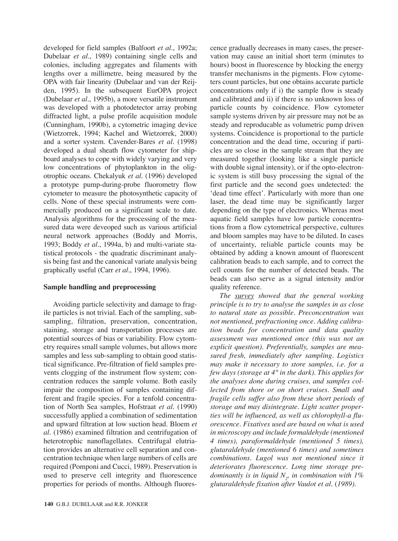developed for field samples (Balfoort *et al.*, 1992a; Dubelaar *et al.*, 1989) containing single cells and colonies, including aggregates and filaments with lengths over a millimetre, being measured by the OPA with fair linearity (Dubelaar and van der Reijden, 1995). In the subsequent EurOPA project (Dubelaar *et al.*, 1995b), a more versatile instrument was developed with a photodetector array probing diffracted light, a pulse profile acquisition module (Cunningham, 1990b), a cytometric imaging device (Wietzorrek, 1994; Kachel and Wietzorrek, 2000) and a sorter system. Cavender-Bares *et al.* (1998) developed a dual sheath flow cytometer for shipboard analyses to cope with widely varying and very low concentrations of phytoplankton in the oligotrophic oceans. Chekalyuk *et al.* (1996) developed a prototype pump-during-probe fluorometry flow cytometer to measure the photosynthetic capacity of cells. None of these special instruments were commercially produced on a significant scale to date. Analysis algorithms for the processing of the measured data were deveoped such as various artificial neural network approaches (Boddy and Morris, 1993; Boddy *et al.*, 1994a, b) and multi-variate statistical protocols - the quadratic discriminant analysis being fast and the canonical variate analysis being graphically useful (Carr *et al.*, 1994, 1996).

## **Sample handling and preprocessing**

Avoiding particle selectivity and damage to fragile particles is not trivial. Each of the sampling, subsampling, filtration, preservation, concentration, staining, storage and transportation processes are potential sources of bias or variability. Flow cytometry requires small sample volumes, but allows more samples and less sub-sampling to obtain good statistical significance. Pre-filtration of field samples prevents clogging of the instrument flow system; concentration reduces the sample volume. Both easily impair the composition of samples containing different and fragile species. For a tenfold concentration of North Sea samples, Hofstraat *et al.* (1990) successfully applied a combination of sedimentation and upward filtration at low suction head. Bloem *et al.* (1986) examined filtration and centrifugation of heterotrophic nanoflagellates. Centrifugal elutriation provides an alternative cell separation and concentration technique when large numbers of cells are required (Pomponi and Cucci, 1989). Preservation is used to preserve cell integrity and fluorescence properties for periods of months. Although fluorescence gradually decreases in many cases, the preservation may cause an initial short term (minutes to hours) boost in fluorescence by blocking the energy transfer mechanisms in the pigments. Flow cytometers count particles, but one obtains accurate particle concentrations only if i) the sample flow is steady and calibrated and ii) if there is no unknown loss of particle counts by coincidence. Flow cytometer sample systems driven by air pressure may not be as steady and reproducable as volumetric pump driven systems. Coincidence is proportional to the particle concentration and the dead time, occuring if particles are so close in the sample stream that they are measured together (looking like a single particle with double signal intensity), or if the opto-electronic system is still busy processing the signal of the first particle and the second goes undetected: the 'dead time effect'. Particularly with more than one laser, the dead time may be significantly larger depending on the type of electronics. Whereas most aquatic field samples have low particle concentrations from a flow cytometrical perspective, cultures and bloom samples may have to be diluted. In cases of uncertainty, reliable particle counts may be obtained by adding a known amount of fluorescent calibration beads to each sample, and to correct the cell counts for the number of detected beads. The beads can also serve as a signal intensity and/or quality reference.

*The survey showed that the general working principle is to try to analyse the samples in as close to natural state as possible. Preconcentration was not mentioned, prefractioning once. Adding calibration beads for concentration and data quality assessment was mentioned once (this was not an explicit question). Preferentially, samples are measured fresh, immediately after sampling. Logistics may make it necessary to store samples, i.e. for a few days (storage at 4° in the dark). This applies for the analyses done during cruises, and samples collected from shore or on short cruises. Small and fragile cells suffer also from these short periods of storage and may disintegrate. Light scatter properties will be influenced, as well as chlorophyll-a fluorescence. Fixatives used are based on what is used in microscopy and include formaldehyde (mentioned 4 times), paraformaldehyde (mentioned 5 times), glutaraldehyde (mentioned 6 times) and sometimes combinations. Lugol was not mentioned since it deteriorates fluorescence. Long time storage predominantly is in liquid N2 , in combination with 1% glutaraldehyde fixation after Vaulot et al.* (*1989).*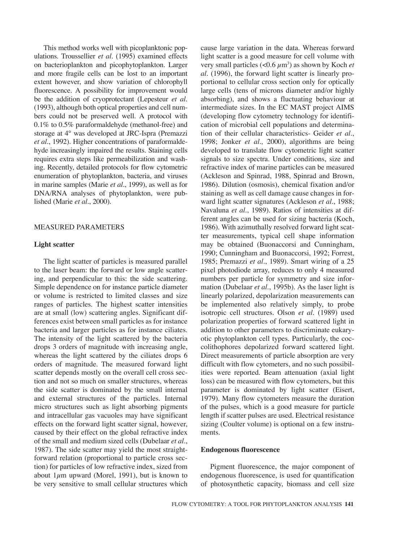This method works well with picoplanktonic populations. Troussellier *et al.* (1995) examined effects on bacterioplankton and picophytoplankton. Larger and more fragile cells can be lost to an important extent however, and show variation of chlorophyll fluorescence. A possibility for improvement would be the addition of cryoprotectant (Lepesteur *et al.* (1993), although both optical properties and cell numbers could not be preserved well. A protocol with 0.1% to 0.5% paraformaldehyde (methanol-free) and storage at 4° was developed at JRC-Ispra (Premazzi *et al.*, 1992). Higher concentrations of paraformaldehyde increasingly impaired the results. Staining cells requires extra steps like permeabilization and washing. Recently, detailed protocols for flow cytometric enumeration of phytoplankton, bacteria, and viruses in marine samples (Marie *et al.*, 1999), as well as for DNA/RNA analyses of phytoplankton, were published (Marie *et al.*, 2000).

## MEASURED PARAMETERS

#### **Light scatter**

The light scatter of particles is measured parallel to the laser beam: the forward or low angle scattering, and perpendicular to this: the side scattering. Simple dependence on for instance particle diameter or volume is restricted to limited classes and size ranges of particles. The highest scatter intensities are at small (low) scattering angles. Significant differences exist between small particles as for instance bacteria and larger particles as for instance ciliates. The intensity of the light scattered by the bacteria drops 3 orders of magnitude with increasing angle, whereas the light scattered by the ciliates drops 6 orders of magnitude. The measured forward light scatter depends mostly on the overall cell cross section and not so much on smaller structures, whereas the side scatter is dominated by the small internal and external structures of the particles. Internal micro structures such as light absorbing pigments and intracellular gas vacuoles may have significant effects on the forward light scatter signal, however, caused by their effect on the global refractive index of the small and medium sized cells (Dubelaar *et al.*, 1987). The side scatter may yield the most straightforward relation (proportional to particle cross section) for particles of low refractive index, sized from about  $1\mu$ m upward (Morel, 1991), but is known to be very sensitive to small cellular structures which cause large variation in the data. Whereas forward light scatter is a good measure for cell volume with very small particles  $(<0.6 \ \mu m^3)$  as shown by Koch *et al.* (1996), the forward light scatter is linearly proportional to cellular cross section only for optically large cells (tens of microns diameter and/or highly absorbing), and shows a fluctuating behaviour at intermediate sizes. In the EC MAST project AIMS (developing flow cytometry technology for identification of microbial cell populations and determination of their cellular characteristics- Geider *et al.*, 1998; Jonker *et al.,* 2000), algorithms are being developed to translate flow cytometric light scatter signals to size spectra. Under conditions, size and refractive index of marine particles can be measured (Ackleson and Spinrad, 1988, Spinrad and Brown, 1986). Dilution (osmosis), chemical fixation and/or staining as well as cell damage cause changes in forward light scatter signatures (Ackleson *et al.*, 1988; Navaluna *et al.*, 1989). Ratios of intensities at different angles can be used for sizing bacteria (Koch, 1986). With azimuthally resolved forward light scatter measurements, typical cell shape information may be obtained (Buonaccorsi and Cunningham, 1990; Cunningham and Buonaccorsi, 1992; Forrest, 1985; Premazzi *et al.*, 1989). Smart wiring of a 25 pixel photodiode array, reduces to only 4 measured numbers per particle for symmetry and size information (Dubelaar *et al.*, 1995b). As the laser light is linearly polarized, depolarization measurements can be implemented also relatively simply, to probe isotropic cell structures. Olson *et al.* (1989) used polarization properties of forward scattered light in addition to other parameters to discriminate eukaryotic phytoplankton cell types. Particularly, the coccolithophores depolarized forward scattered light. Direct measurements of particle absorption are very difficult with flow cytometers, and no such possibilities were reported. Beam attenuation (axial light loss) can be measured with flow cytometers, but this parameter is dominated by light scatter (Eisert, 1979). Many flow cytometers measure the duration of the pulses, which is a good measure for particle length if scatter pulses are used. Electrical resistance sizing (Coulter volume) is optional on a few instruments.

#### **Endogenous fluorescence**

Pigment fluorescence, the major component of endogenous fluorescence, is used for quantification of photosynthetic capacity, biomass and cell size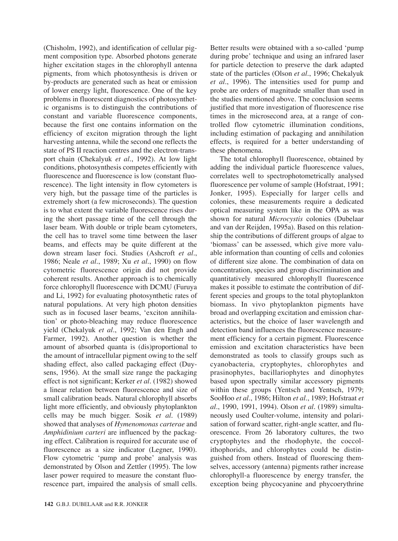(Chisholm, 1992), and identification of cellular pigment composition type. Absorbed photons generate higher excitation stages in the chlorophyll antenna pigments, from which photosynthesis is driven or by-products are generated such as heat or emission of lower energy light, fluorescence. One of the key problems in fluorescent diagnostics of photosynthetic organisms is to distinguish the contributions of constant and variable fluorescence components, because the first one contains information on the efficiency of exciton migration through the light harvesting antenna, while the second one reflects the state of PS II reaction centres and the electron-transport chain (Chekalyuk *et al.*, 1992). At low light conditions, photosynthesis competes efficiently with fluorescence and fluorescence is low (constant fluorescence). The light intensity in flow cytometers is very high, but the passage time of the particles is extremely short (a few microseconds). The question is to what extent the variable fluorescence rises during the short passage time of the cell through the laser beam. With double or triple beam cytometers, the cell has to travel some time between the laser beams, and effects may be quite different at the down stream laser foci. Studies (Ashcroft *et al.*, 1986; Neale *et al.*, 1989; Xu *et al.*, 1990) on flow cytometric fluorescence origin did not provide coherent results. Another approach is to chemically force chlorophyll fluorescence with DCMU (Furuya and Li, 1992) for evaluating photosynthetic rates of natural populations. At very high photon densities such as in focused laser beams, 'exciton annihilation' or photo-bleaching may reduce fluorescence yield (Chekalyuk *et al.*, 1992; Van den Engh and Farmer, 1992). Another question is whether the amount of absorbed quanta is (dis)proportional to the amount of intracellular pigment owing to the self shading effect, also called packaging effect (Duysens, 1956). At the small size range the packaging effect is not significant; Kerker *et al.* (1982) showed a linear relation between fluorescence and size of small calibration beads. Natural chlorophyll absorbs light more efficiently, and obviously phytoplankton cells may be much bigger. Sosik *et al.* (1989) showed that analyses of *Hymenomonas carterae* and *Amphidinium carteri* are influenced by the packaging effect. Calibration is required for accurate use of fluorescence as a size indicator (Legner, 1990). Flow cytometric 'pump and probe' analysis was demonstrated by Olson and Zettler (1995). The low laser power required to measure the constant fluorescence part, impaired the analysis of small cells. Better results were obtained with a so-called 'pump during probe' technique and using an infrared laser for particle detection to preserve the dark adapted state of the particles (Olson *et al.*, 1996; Chekalyuk *et al.*, 1996). The intensities used for pump and probe are orders of magnitude smaller than used in the studies mentioned above. The conclusion seems justified that more investigation of fluorescence rise times in the microsecond area, at a range of controlled flow cytometric illumination conditions, including estimation of packaging and annihilation effects, is required for a better understanding of these phenomena.

The total chlorophyll fluorescence, obtained by adding the individual particle fluorescence values, correlates well to spectrophotometrically analysed fluorescence per volume of sample (Hofstraat, 1991; Jonker, 1995). Especially for larger cells and colonies, these measurements require a dedicated optical measuring system like in the OPA as was shown for natural *Microcystis* colonies (Dubelaar and van der Reijden, 1995a). Based on this relationship the contributions of different groups of algae to 'biomass' can be assessed, which give more valuable information than counting of cells and colonies of different size alone. The combination of data on concentration, species and group discrimination and quantitatively measured chlorophyll fluorescence makes it possible to estimate the contribution of different species and groups to the total phytoplankton biomass. In vivo phytoplankton pigments have broad and overlapping excitation and emission characteristics, but the choice of laser wavelength and detection band influences the fluorescence measurement efficiency for a certain pigment. Fluorescence emission and excitation characteristics have been demonstrated as tools to classify groups such as cyanobacteria, cryptophytes, chlorophytes and prasinophytes, bacillariophytes and dinophytes based upon spectrally similar accessory pigments within these groups (Yentsch and Yentsch, 1979; SooHoo *et al.*, 1986; Hilton *et al.*, 1989; Hofstraat *et al.*, 1990, 1991, 1994). Olson *et al.* (1989) simultaneously used Coulter-volume, intensity and polarisation of forward scatter, right-angle scatter, and fluorescence. From 26 laboratory cultures, the two cryptophytes and the rhodophyte, the coccolithophorids, and chlorophytes could be distinguished from others. Instead of fluorescing themselves, accessory (antenna) pigments rather increase chlorophyll-a fluorescence by energy transfer, the exception being phycocyanine and phycoerythrine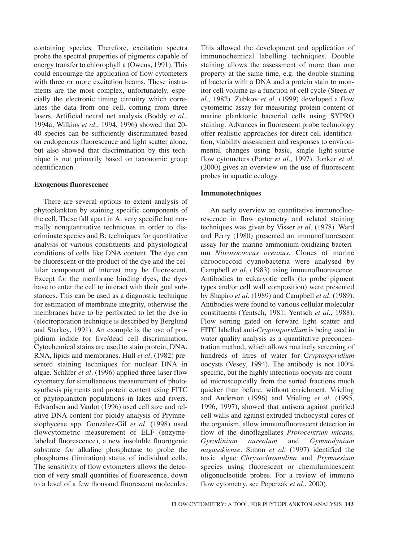containing species. Therefore, excitation spectra probe the spectral properties of pigments capable of energy transfer to chlorophyll a (Owens, 1991). This could encourage the application of flow cytometers with three or more excitation beams. These instruments are the most complex, unfortunately, especially the electronic timing circuitry which correlates the data from one cell, coming from three lasers. Artificial neural net analysis (Boddy *et al.*, 1994a; Wilkins *et al.*, 1994, 1996) showed that 20- 40 species can be sufficiently discriminated based on endogenous fluorescence and light scatter alone, but also showed that discrimination by this technique is not primarily based on taxonomic group identification.

#### **Exogenous fluorescence**

There are several options to extent analysis of phytoplankton by staining specific components of the cell. These fall apart in A: very specific but normally nonquantitative techniques in order to discriminate species and B: techniques for quantitative analysis of various constituents and physiological conditions of cells like DNA content. The dye can be fluorescent or the product of the dye and the cellular component of interest may be fluorescent. Except for the membrane binding dyes, the dyes have to enter the cell to interact with their goal substances. This can be used as a diagnostic technique for estimation of membrane integrity, otherwise the membranes have to be perforated to let the dye in (electroporation technique is described by Berglund and Starkey, 1991). An example is the use of propidium iodide for live/dead cell discrimination. Cytochemical stains are used to stain protein, DNA, RNA, lipids and membranes. Hull *et al.* (1982) presented staining techniques for nuclear DNA in algae. Schäfer *et al.* (1996) applied three-laser flow cytometry for simultaneous measurement of photosynthesis pigments and protein content using FITC of phytoplankton populations in lakes and rivers. Edvardsen and Vaulot (1996) used cell size and relative DNA content for ploidy analysis of Prymnesiophyceae spp. González-Gil *et al.* (1998) used flowcytometric measurement of ELF (enzymelabeled fluorescence), a new insoluble fluorogenic substrate for alkaline phosphatase to probe the phosphorus (limitation) status of individual cells. The sensitivity of flow cytometers allows the detection of very small quantities of fluorescence, down to a level of a few thousand fluorescent molecules. This allowed the development and application of immunochemical labelling techniques. Double staining allows the assessment of more than one property at the same time, e.g. the double staining of bacteria with a DNA and a protein stain to monitor cell volume as a function of cell cycle (Steen *et al.*, 1982). Zubkov *et al.* (1999) developed a flow cytometric assay for measuring protein content of marine planktonic bacterial cells using SYPRO staining. Advances in fluorescent probe technology offer realistic approaches for direct cell identification, viability assessment and responses to environmental changes using basic, single light-source flow cytometers (Porter *et al.*, 1997). Jonker *et al.* (2000) gives an overview on the use of fluorescent probes in aquatic ecology.

#### **Immunotechniques**

An early overview on quantitative immunofluorescence in flow cytometry and related staining techniques was given by Visser *et al.* (1978). Ward and Perry (1980) presented an immunofluorescent assay for the marine ammonium-oxidizing bacterium *Nitrosococcus oceanus*. Clones of marine chroococcoid cyanobacteria were analysed by Campbell *et al.* (1983) using immunofluorescence. Antibodies to eukaryotic cells (to probe pigment types and/or cell wall composition) were presented by Shapiro *et al.* (1989) and Campbell *et al.* (1989). Antibodies were found to various cellular molecular constituents (Yentsch, 1981; Yentsch *et al.*, 1988). Flow sorting gated on forward light scatter and FITC labelled anti-*Cryptosporidium* is being used in water quality analysis as a quantitative preconcentration method, which allows routinely screening of hundreds of litres of water for C*ryptosporidium* oocysts (Vesey, 1994). The antibody is not 100% specific, but the highly infectious oocysts are counted microscopically from the sorted fractions much quicker than before, without enrichment. Vrieling and Anderson (1996) and Vrieling *et al.* (1995, 1996, 1997), showed that antisera against purified cell walls and against extruded trichocystal cores of the organism, allow immunofluorescent detection in flow of the dinoflagellates *Prorocentrum micans, Gyrodinium aureolum* and *Gymnodynium nagasakiense*. Simon *et al.* (1997) identified the toxic algae *Chrysochromulina* and *Prymnesium* species using fluorescent or chemiluminescent oligonucleotide probes. For a review of immuno flow cytometry, see Peperzak *et al.*, 2000).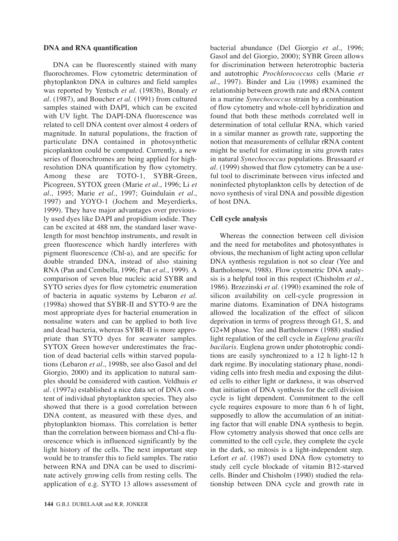#### **DNA and RNA quantification**

DNA can be fluorescently stained with many fluorochromes. Flow cytometric determination of phytoplankton DNA in cultures and field samples was reported by Yentsch *et al.* (1983b), Bonaly *et al.* (1987), and Boucher *et al.* (1991) from cultured samples stained with DAPI, which can be excited with UV light. The DAPI-DNA fluorescence was related to cell DNA content over almost 4 orders of magnitude. In natural populations, the fraction of particulate DNA contained in photosynthetic picoplankton could be computed. Currently, a new series of fluorochromes are being applied for highresolution DNA quantification by flow cytometry. Among these are TOTO-1, SYBR-Green, Picogreen, SYTOX green (Marie *et al.*, 1996; Li *et al*., 1995; Marie *et al.*, 1997; Guindulain *et al.*, 1997) and YOYO-1 (Jochem and Meyerdierks, 1999). They have major advantages over previously used dyes like DAPI and propidium iodide. They can be excited at 488 nm, the standard laser wavelength for most benchtop instruments, and result in green fluorescence which hardly interferes with pigment fluorescence (Chl-a), and are specific for double stranded DNA, instead of also staining RNA (Pan and Cembella, 1996; Pan *et al.*, 1999). A comparison of seven blue nucleic acid SYBR and SYTO series dyes for flow cytometric enumeration of bacteria in aquatic systems by Lebaron *et al.* (1998a) showed that SYBR-II and SYTO-9 are the most appropriate dyes for bacterial enumeration in nonsaline waters and can be applied to both live and dead bacteria, whereas SYBR-II is more appropriate than SYTO dyes for seawater samples. SYTOX Green however underestimates the fraction of dead bacterial cells within starved populations (Lebaron *et al.*, 1998b, see also Gasol and del Giorgio, 2000) and its application to natural samples should be considered with caution. Veldhuis *et al.* (1997a) established a nice data set of DNA content of individual phytoplankton species. They also showed that there is a good correlation between DNA content, as measured with these dyes, and phytoplankton biomass. This correlation is better than the correlation between biomass and Chl-a fluorescence which is influenced significantly by the light history of the cells. The next important step would be to transfer this to field samples. The ratio between RNA and DNA can be used to discriminate actively growing cells from resting cells. The application of e.g. SYTO 13 allows assessment of bacterial abundance (Del Giorgio *et al.*, 1996; Gasol and del Giorgio, 2000); SYBR Green allows for discrimination between heterotrophic bacteria and autotrophic *Prochlorococcus* cells (Marie *et al.*, 1997). Binder and Liu (1998) examined the relationship between growth rate and rRNA content in a marine *Synechococcus* strain by a combination of flow cytometry and whole-cell hybridization and found that both these methods correlated well in determination of total cellular RNA, which varied in a similar manner as growth rate, supporting the notion that measurements of cellular rRNA content might be useful for estimating in situ growth rates in natural *Synechococcus* populations. Brussaard *et al.* (1999) showed that flow cytometry can be a useful tool to discriminate between virus infected and noninfected phytoplankton cells by detection of de novo synthesis of viral DNA and possible digestion of host DNA.

#### **Cell cycle analysis**

Whereas the connection between cell division and the need for metabolites and photosynthates is obvious, the mechanism of light acting upon cellular DNA synthesis regulation is not so clear (Yee and Bartholomew, 1988). Flow cytometric DNA analysis is a helpful tool in this respect (Chisholm *et al.*, 1986). Brzezinski *et al.* (1990) examined the role of silicon availability on cell-cycle progression in marine diatoms. Examination of DNA histograms allowed the localization of the effect of silicon deprivation in terms of progress through G1, S, and G2+M phase. Yee and Bartholomew (1988) studied light regulation of the cell cycle in *Euglena gracilis bacilaris*. Euglena grown under phototrophic conditions are easily synchronized to a 12 h light-12 h dark regime. By inoculating stationary phase, nondividing cells into fresh media and exposing the diluted cells to either light or darkness, it was observed that initiation of DNA synthesis for the cell division cycle is light dependent. Commitment to the cell cycle requires exposure to more than 6 h of light, supposedly to allow the accumulation of an initiating factor that will enable DNA synthesis to begin. Flow cytometry analysis showed that once cells are committed to the cell cycle, they complete the cycle in the dark, so mitosis is a light-independent step. Lefort *et al.* (1987) used DNA flow cytometry to study cell cycle blockade of vitamin B12-starved cells. Binder and Chisholm (1990) studied the relationship between DNA cycle and growth rate in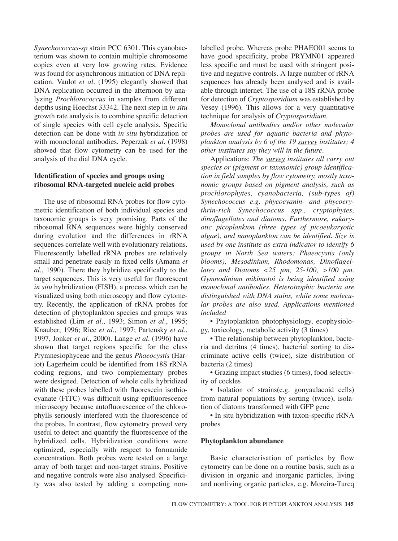*Synechococcus-sp* strain PCC 6301. This cyanobacterium was shown to contain multiple chromosome copies even at very low growing rates. Evidence was found for asynchronous initiation of DNA replication. Vaulot *et al.* (1995) elegantly showed that DNA replication occurred in the afternoon by analyzing *Prochlorococcus* in samples from different depths using Hoechst 33342. The next step in *in situ* growth rate analysis is to combine specific detection of single species with cell cycle analysis. Specific detection can be done with *in situ* hybridization or with monoclonal antibodies. Peperzak *et al.* (1998) showed that flow cytometry can be used for the analysis of the dial DNA cycle.

# **Identification of species and groups using ribosomal RNA-targeted nucleic acid probes**

The use of ribosomal RNA probes for flow cytometric identification of both individual species and taxonomic groups is very promising. Parts of the ribosomal RNA sequences were highly conserved during evolution and the differences in rRNA sequences correlate well with evolutionary relations. Fluorescently labelled rRNA probes are relatively small and penetrate easily in fixed cells (Amann *et al.*, 1990). There they hybridize specifically to the target sequences. This is very useful for fluorescent *in situ* hybridization (FISH), a process which can be visualized using both microscopy and flow cytometry. Recently, the application of rRNA probes for detection of phytoplankton species and groups was established (Lim *et al.*, 1993; Simon *et al.*, 1995; Knauber, 1996; Rice *et al.*, 1997; Partensky *et al.*, 1997, Jonker *et al*., 2000). Lange *et al.* (1996) have shown that target regions specific for the class Prymnesiophyceae and the genus *Phaeocystis* (Hariot) Lagerheim could be identified from 18S rRNA coding regions, and two complementary probes were designed. Detection of whole cells hybridized with these probes labelled with fluorescein isothiocyanate (FITC) was difficult using epifluorescence microscopy because autofluorescence of the chlorophylls seriously interfered with the fluorescence of the probes. In contrast, flow cytometry proved very useful to detect and quantify the fluorescence of the hybridized cells. Hybridization conditions were optimized, especially with respect to formamide concentration. Both probes were tested on a large array of both target and non-target strains. Positive and negative controls were also analysed. Specificity was also tested by adding a competing nonlabelled probe. Whereas probe PHAEO01 seems to have good specificity, probe PRYMN01 appeared less specific and must be used with stringent positive and negative controls. A large number of rRNA sequences has already been analysed and is available through internet. The use of a 18S rRNA probe for detection of *Cryptosporidium* was established by Vesey (1996). This allows for a very quantitative technique for analysis of *Cryptosporidium*.

*Monoclonal antibodies and/or other molecular probes are used for aquatic bacteria and phytoplankton analysis by 6 of the 19 survey institutes; 4 other institutes say they will in the future.*

Applications: *The survey institutes all carry out species or (pigment or taxonomic) group identification in field samples by flow cytometry, mostly taxonomic groups based on pigment analysis, such as prochlorophytes, cyanobacteria, (sub-types of) Synechococcus e.g. phycocyanin- and phycoerythrin-rich Synechococcus spp., cryptophytes, dinoflagellates and diatoms. Furthermore, eukaryotic picoplankton (three types of picoeukaryotic algae), and nanoplankton can be identified. Size is used by one institute as extra indicator to identify 6 groups in North Sea waters: Phaeocystis (only blooms), Mesodinium, Rhodomonas, Dinoflagellates and Diatoms <25 µm, 25-100, >100 µm. Gymnodinium mikimotoi is being identified using monoclonal antibodies. Heterotrophic bacteria are distinguished with DNA stains, while some molecular probes are also used. Applications mentioned included*

• Phytoplankton photophysiology, ecophysiology, toxicology, metabolic activity (3 times)

• The relationship between phytoplankton, bacteria and detritus (4 times), bacterial sorting to discriminate active cells (twice), size distribution of bacteria (2 times)

• Grazing impact studies (6 times), food selectivity of cockles

• Isolation of strains(e.g. gonyaulacoid cells) from natural populations by sorting (twice), isolation of diatoms transformed with GFP gene

• In situ hybridization with taxon-specific rRNA probes

#### **Phytoplankton abundance**

Basic characterisation of particles by flow cytometry can be done on a routine basis, such as a division in organic and inorganic particles, living and nonliving organic particles, e.g. Moreira-Turcq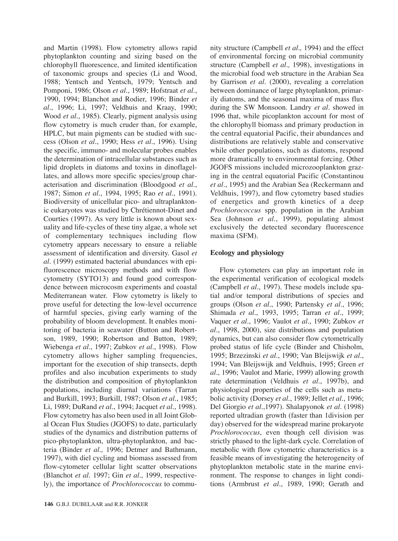and Martin (1998). Flow cytometry allows rapid phytoplankton counting and sizing based on the chlorophyll fluorescence, and limited identification of taxonomic groups and species (Li and Wood, 1988; Yentsch and Yentsch, 1979; Yentsch and Pomponi, 1986; Olson *et al.*, 1989; Hofstraat *et al.*, 1990, 1994; Blanchot and Rodier, 1996; Binder *et al.*, 1996; Li, 1997; Veldhuis and Kraay, 1990; Wood *et al.*, 1985). Clearly, pigment analysis using flow cytometry is much cruder than, for example, HPLC, but main pigments can be studied with success (Olson *et al.*, 1990; Hess *et al.*, 1996). Using the specific, immuno- and molecular probes enables the determination of intracellular substances such as lipid droplets in diatoms and toxins in dinoflagellates, and allows more specific species/group characterisation and discrimination (Bloodgood *et al.*, 1987; Simon *et al.*, 1994, 1995; Rao *et al.*, 1991). Biodiversity of unicellular pico- and ultraplanktonic eukaryotes was studied by Chrétiennot-Dinet and Courties (1997). As very little is known about sexuality and life-cycles of these tiny algae, a whole set of complementary techniques including flow cytometry appears necessary to ensure a reliable assessment of identification and diversity. Gasol *et al.* (1999) estimated bacterial abundances with epifluorescence microscopy methods and with flow cytometry (SYTO13) and found good correspondence between microcosm experiments and coastal Mediterranean water. Flow cytometry is likely to prove useful for detecting the low-level occurrence of harmful species, giving early warning of the probability of bloom development. It enables monitoring of bacteria in seawater (Button and Robertson, 1989, 1990; Robertson and Button, 1989; Wiebenga *et al.*, 1997; Zubkov *et al.*, 1998). Flow cytometry allows higher sampling frequencies, important for the execution of ship transects, depth profiles and also incubation experiments to study the distribution and composition of phytoplankton populations, including diurnal variations (Tarran and Burkill, 1993; Burkill, 1987; Olson *et al.*, 1985; Li, 1989; DuRand *et al.*, 1994; Jacquet *et al.*, 1998). Flow cytometry has also been used in all Joint Global Ocean Flux Studies (JGOFS) to date, particularly studies of the dynamics and distribution patterns of pico-phytoplankton, ultra-phytoplankton, and bacteria (Binder *et al.,* 1996; Detmer and Bathmann, 1997), with diel cycling and biomass assessed from flow-cytometer cellular light scatter observations (Blanchot *et al.* 1997; Gin *et al.*, 1999, respectively), the importance of *Prochlorococcus* to community structure (Campbell *et al.,* 1994) and the effect of environmental forcing on microbial community structure (Campbell *et al.,* 1998), investigations in the microbial food web structure in the Arabian Sea by Garrison *et al.* (2000), revealing a correlation between dominance of large phytoplankton, primarily diatoms, and the seasonal maxima of mass flux during the SW Monsoon. Landry *et al.* showed in 1996 that, while picoplankton account for most of the chlorophyll biomass and primary production in the central equatorial Pacific, their abundances and distributions are relatively stable and conservative while other populations, such as diatoms, respond more dramatically to environmental forcing. Other JGOFS missions included microzooplankton grazing in the central equatorial Pacific (Constantinou *et al.*, 1995) and the Arabian Sea (Reckermann and Veldhuis, 1997), and flow cytometry based studies of energetics and growth kinetics of a deep *Prochlorococcus* spp. population in the Arabian Sea (Johnson *et al.*, 1999), populating almost exclusively the detected secondary fluorescence maxima (SFM).

## **Ecology and physiology**

Flow cytometers can play an important role in the experimental verification of ecological models (Campbell *et al.*, 1997). These models include spatial and/or temporal distributions of species and groups (Olson *et al.*, 1990; Partensky *et al.*, 1996; Shimada *et al.*, 1993, 1995; Tarran *et al.*, 1999; Vaquer *et al.*, 1996; Vaulot *et al.*, 1990; Zubkov *et al.*, 1998, 2000), size distributions and population dynamics, but can also consider flow cytometrically probed status of life cycle (Binder and Chisholm, 1995; Brzezinski *et al.*, 1990; Van Bleijswijk *et al.*, 1994; Van Bleijswijk and Veldhuis, 1995; Green *et al.*, 1996; Vaulot and Marie, 1999) allowing growth rate determination (Veldhuis *et al.*, 1997b), and physiological properties of the cells such as metabolic activity (Dorsey *et al.*, 1989; Jellet *et al.*, 1996; Del Giorgio *et al.*,1997). Shalapyonok *et al.* (1998) reported ultradian growth (faster than 1division per day) observed for the widespread marine prokaryote *Prochlorococcus*, even though cell division was strictly phased to the light-dark cycle. Correlation of metabolic with flow cytometric characteristics is a feasible means of investigating the heterogeneity of phytoplankton metabolic state in the marine environment. The response to changes in light conditions (Armbrust *et al.*, 1989, 1990; Gerath and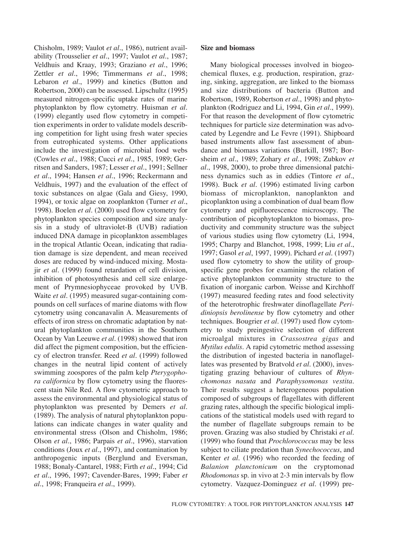Chisholm, 1989; Vaulot *et al.*, 1986), nutrient availability (Trousselier *et al.*, 1997; Vaulot *et al.*, 1987; Veldhuis and Kraay, 1993; Graziano *et al.*, 1996; Zettler *et al.*, 1996; Timmermans *et al.*, 1998; Lebaron *et al.*, 1999) and kinetics (Button and Robertson, 2000) can be assessed. Lipschultz (1995) measured nitrogen-specific uptake rates of marine phytoplankton by flow cytometry. Huisman *et al.* (1999) elegantly used flow cytometry in competition experiments in order to validate models describing competition for light using fresh water species from eutrophicated systems. Other applications include the investigation of microbial food webs (Cowles *et al.*, 1988; Cucci *et al.*, 1985, 1989; Gerritsen and Sanders, 1987; Lesser *et al.*, 1991; Sellner *et al.*, 1994; Hansen *et al.*, 1996; Reckermann and Veldhuis, 1997) and the evaluation of the effect of toxic substances on algae (Gala and Giesy, 1990, 1994), or toxic algae on zooplankton (Turner *et al.*, 1998). Boelen *et al.* (2000) used flow cytometry for phytoplankton species composition and size analysis in a study of ultraviolet-B (UVB) radiation induced DNA damage in picoplankton assemblages in the tropical Atlantic Ocean, indicating that radiation damage is size dependent, and mean received doses are reduced by wind-induced mixing. Mostajir *et al.* (1999) found retardation of cell division, inhibition of photosynthesis and cell size enlargement of Prymnesiophyceae provoked by UVB. Waite *et al.* (1995) measured sugar-containing compounds on cell surfaces of marine diatoms with flow cytometry using concanavalin A. Measurements of effects of iron stress on chromatic adaptation by natural phytoplankton communities in the Southern Ocean by Van Leeuwe *et al.* (1998) showed that iron did affect the pigment composition, but the efficiency of electron transfer. Reed *et al.* (1999) followed changes in the neutral lipid content of actively swimming zoospores of the palm kelp *Pterygophora californica* by flow cytometry using the fluorescent stain Nile Red. A flow cytometric approach to assess the environmental and physiological status of phytoplankton was presented by Demers *et al.* (1989). The analysis of natural phytoplankton populations can indicate changes in water quality and environmental stress (Olson and Chisholm, 1986; Olson *et al.*, 1986; Parpais *et al.*, 1996), starvation conditions (Joux *et al.*, 1997), and contamination by anthropogenic inputs (Berglund and Eversman, 1988; Bonaly-Cantarel, 1988; Firth *et al.*, 1994; Cid *et al.*, 1996, 1997; Cavender-Bares, 1999; Faber *et al.*, 1998; Franqueira *et al.*, 1999).

#### **Size and biomass**

Many biological processes involved in biogeochemical fluxes, e.g. production, respiration, grazing, sinking, aggregation, are linked to the biomass and size distributions of bacteria (Button and Robertson, 1989, Robertson *et al.*, 1998) and phytoplankton (Rodriguez and Li, 1994, Gin *et al.*, 1999). For that reason the development of flow cytometric techniques for particle size determination was advocated by Legendre and Le Fevre (1991). Shipboard based instruments allow fast assessment of abundance and biomass variations (Burkill, 1987; Borsheim *et al.*, 1989; Zohary *et al.*, 1998; Zubkov *et al.*, 1998, 2000), to probe three dimensional patchiness dynamics such as in eddies (Tintore *et al.*, 1998). Buck *et al.* (1996) estimated living carbon biomass of microplankton, nanoplankton and picoplankton using a combination of dual beam flow cytometry and epifluorescence microscopy. The contribution of picophytoplankton to biomass, productivity and community structure was the subject of various studies using flow cytometry (Li, 1994, 1995; Charpy and Blanchot, 1998, 1999; Liu *et al.*, 1997; Gasol *et al*, 1997, 1999). Pichard *et al.* (1997) used flow cytometry to show the utility of groupspecific gene probes for examining the relation of active phytoplankton community structure to the fixation of inorganic carbon. Weisse and Kirchhoff (1997) measured feeding rates and food selectivity of the heterotrophic freshwater dinoflagellate *Peridiniopsis berolinense* by flow cytometry and other techniques. Bougrier *et al.* (1997) used flow cytometry to study preingestive selection of different microalgal mixtures in *Crassostrea gigas* and *Mytilus edulis.* A rapid cytometric method assessing the distribution of ingested bacteria in nanoflagellates was presented by Bratvold *et al.* (2000), investigating grazing behaviour of cultures of *Rhynchomonas nasuta* and *Paraphysomonas vestita*. Their results suggest a heterogeneous population composed of subgroups of flagellates with different grazing rates, although the specific biological implications of the statistical models used with regard to the number of flagellate subgroups remain to be proven. Grazing was also studied by Christaki *et al.* (1999) who found that *Prochlorococcus* may be less subject to ciliate predation than *Synechococcus*, and Kenter *et al.* (1996) who recorded the feeding of *Balanion planctonicum* on the cryptomonad *Rhodomonas* sp. in vivo at 2-3 min intervals by flow cytometry*.* Vazquez-Dominguez *et al.* (1999) pre-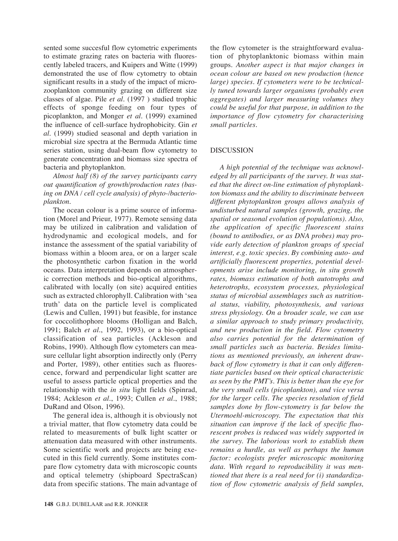sented some succesful flow cytometric experiments to estimate grazing rates on bacteria with fluorescently labeled tracers, and Kuipers and Witte (1999) demonstrated the use of flow cytometry to obtain significant results in a study of the impact of microzooplankton community grazing on different size classes of algae. Pile *et al.* (1997 ) studied trophic effects of sponge feeding on four types of picoplankton, and Monger *et al.* (1999) examined the influence of cell-surface hydrophobicity. Gin *et al.* (1999) studied seasonal and depth variation in microbial size spectra at the Bermuda Atlantic time series station, using dual-beam flow cytometry to generate concentration and biomass size spectra of bacteria and phytoplankton.

*Almost half (8) of the survey participants carry out quantification of growth/production rates (basing on DNA / cell cycle analysis) of phyto-/bacterioplankton.*

The ocean colour is a prime source of information (Morel and Prieur, 1977). Remote sensing data may be utilized in calibration and validation of hydrodynamic and ecological models, and for instance the assessment of the spatial variability of biomass within a bloom area, or on a larger scale the photosynthetic carbon fixation in the world oceans. Data interpretation depends on atmospheric correction methods and bio-optical algorithms, calibrated with locally (on site) acquired entities such as extracted chlorophyll. Calibration with 'sea truth' data on the particle level is complicated (Lewis and Cullen, 1991) but feasible, for instance for coccolithophore blooms (Holligan and Balch, 1991; Balch *et al.*, 1992, 1993), or a bio-optical classification of sea particles (Ackleson and Robins, 1990). Although flow cytometers can measure cellular light absorption indirectly only (Perry and Porter, 1989), other entities such as fluorescence, forward and perpendicular light scatter are useful to assess particle optical properties and the relationship with the *in situ* light fields (Spinrad, 1984; Ackleson *et al.*, 1993; Cullen *et al.*, 1988; DuRand and Olson, 1996).

The general idea is, although it is obviously not a trivial matter, that flow cytometry data could be related to measurements of bulk light scatter or attenuation data measured with other instruments. Some scientific work and projects are being executed in this field currently. Some institutes compare flow cytometry data with microscopic counts and optical telemetry (shipboard SpectraScan) data from specific stations. The main advantage of

tion of phytoplanktonic biomass within main groups. *Another aspect is that major changes in ocean colour are based on new production (hence large) species. If cytometers were to be technically tuned towards larger organisms (probably even aggregates) and larger measuring volumes they could be useful for that purpose, in addition to the importance of flow cytometry for characterising small particles.* 

the flow cytometer is the straightforward evalua-

# DISCUSSION

*A high potential of the technique was acknowledged by all participants of the survey. It was stated that the direct on-line estimation of phytoplankton biomass and the ability to discriminate between different phytoplankton groups allows analysis of undisturbed natural samples (growth, grazing, the spatial or seasonal evolution of populations). Also, the application of specific fluorescent stains (bound to antibodies, or as DNA probes) may provide early detection of plankton groups of special interest, e.g. toxic species. By combining auto- and artificially fluorescent properties, potential developments arise include monitoring, in situ growth rates, biomass estimation of both autotrophs and heterotrophs, ecosystem processes, physiological status of microbial assemblages such as nutritional status, viability, photosynthesis, and various stress physiology. On a broader scale, we can use a similar approach to study primary productivity, and new production in the field. Flow cytometry also carries potential for the determination of small particles such as bacteria. Besides limitations as mentioned previously, an inherent drawback of flow cytometry is that it can only differentiate particles based on their optical characteristic as seen by the PMT's. This is better than the eye for the very small cells (picoplankton), and vice versa for the larger cells. The species resolution of field samples done by flow-cytometry is far below the Utermoehl-microscopy. The expectation that this situation can improve if the lack of specific fluorescent probes is reduced was widely supported in the survey. The laborious work to establish them remains a hurdle, as well as perhaps the human factor: ecologists prefer microscopic monitoring data. With regard to reproducibility it was mentioned that there is a real need for (i) standardization of flow cytometric analysis of field samples,*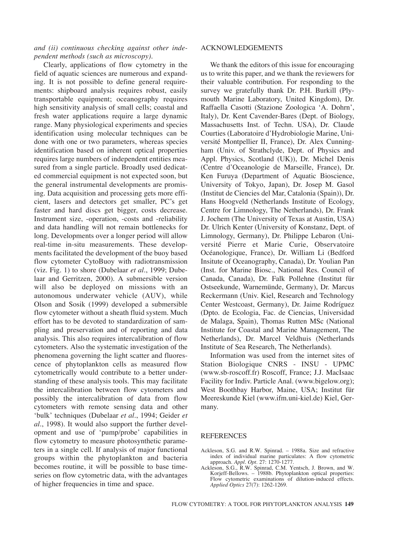## *and (ii) continuous checking against other independent methods (such as microscopy).*

Clearly, applications of flow cytometry in the field of aquatic sciences are numerous and expanding. It is not possible to define general requirements: shipboard analysis requires robust, easily transportable equipment; oceanography requires high sensitivity analysis of small cells; coastal and fresh water applications require a large dynamic range. Many physiological experiments and species identification using molecular techniques can be done with one or two parameters, whereas species identification based on inherent optical properties requires large numbers of independent entities measured from a single particle. Broadly used dedicated commercial equipment is not expected soon, but the general instrumental developments are promising. Data acquisition and processing gets more efficient, lasers and detectors get smaller, PC's get faster and hard discs get bigger, costs decrease. Instrument size, -operation, -costs and -reliability and data handling will not remain bottlenecks for long. Developments over a longer period will allow real-time in-situ measurements. These developments facilitated the development of the buoy based flow cytometer CytoBuoy with radiotransmission (viz. Fig. 1) to shore (Dubelaar *et al.*, 1999; Dubelaar and Gerritzen, 2000). A submersible version will also be deployed on missions with an autonomous underwater vehicle (AUV), while Olson and Sosik (1999) developed a submersible flow cytometer without a sheath fluid system. Much effort has to be devoted to standardization of sampling and preservation and of reporting and data analysis. This also requires intercalibration of flow cytometers. Also the systematic investigation of the phenomena governing the light scatter and fluorescence of phytoplankton cells as measured flow cytometrically would contribute to a better understanding of these analysis tools. This may facilitate the intercalibration between flow cytometers and possibly the intercalibration of data from flow cytometers with remote sensing data and other 'bulk' techniques (Dubelaar *et al.*, 1994; Geider *et al.*, 1998). It would also support the further development and use of 'pump/probe' capabilities in flow cytometry to measure photosynthetic parameters in a single cell. If analysis of major functional groups within the phytoplankton and bacteria becomes routine, it will be possible to base timeseries on flow cytometric data, with the advantages of higher frequencies in time and space.

#### ACKNOWLEDGEMENTS

We thank the editors of this issue for encouraging us to write this paper, and we thank the reviewers for their valuable contribution. For responding to the survey we gratefully thank Dr. P.H. Burkill (Plymouth Marine Laboratory, United Kingdom), Dr. Raffaella Casotti (Stazione Zoologica 'A. Dohrn', Italy), Dr. Kent Cavender-Bares (Dept. of Biology, Massachusetts Inst. of Techn. USA), Dr. Claude Courties (Laboratoire d'Hydrobiologie Marine, Université Montpellier II, France), Dr. Alex Cunningham (Univ. of Strathclyde, Dept. of Physics and Appl. Physics, Scotland (UK)), Dr. Michel Denis (Centre d'Oceanologie de Marseille, France), Dr. Ken Furuya (Department of Aquatic Bioscience, University of Tokyo, Japan), Dr. Josep M. Gasol (Institut de Ciencies del Mar, Catalonia (Spain)), Dr. Hans Hoogveld (Netherlands Institute of Ecology, Centre for Limnology, The Netherlands), Dr. Frank J. Jochem (The University of Texas at Austin, USA) Dr. Ulrich Kenter (University of Konstanz, Dept. of Limnology, Germany), Dr. Philippe Lebaron (Université Pierre et Marie Curie, Observatoire Océanologique, France), Dr. William Li (Bedford Insitute of Oceanography, Canada), Dr. Youlian Pan (Inst. for Marine Biosc., National Res. Council of Canada, Canada), Dr. Falk Pollehne (Institut für Ostseekunde, Warnemünde, Germany), Dr. Marcus Reckermann (Univ. Kiel, Research and Technology Center Westcoast, Germany), Dr. Jaime Rodríguez (Dpto. de Ecologia, Fac. de Ciencias, Universidad de Malaga, Spain), Thomas Rutten MSc (National Institute for Coastal and Marine Management, The Netherlands), Dr. Marcel Veldhuis (Netherlands Institute of Sea Research, The Netherlands).

Information was used from the internet sites of Station Biologique CNRS - INSU - UPMC (www.sb-roscoff.fr) Roscoff, France; J.J. MacIsaac Facility for Indiv. Particle Anal. (www.bigelow.org); West Boothbay Harbor, Maine, USA; Institut für Meereskunde Kiel (www.ifm.uni-kiel.de) Kiel, Germany.

#### REFERENCES

- Ackleson, S.G. and R.W. Spinrad. 1988a. Size and refractive index of individual marine particulates: A flow cytometric approach. *Appl. Opt*. 27: 1270-1277.
- Ackleson, S.G., R.W. Spinrad, C.M. Yentsch, J. Brown, and W. Korjeff-Bellows. – 1988b. Phytoplankton optical properties: Flow cytometric examinations of dilution-induced effects. *Applied Optics* 27(7): 1262-1269.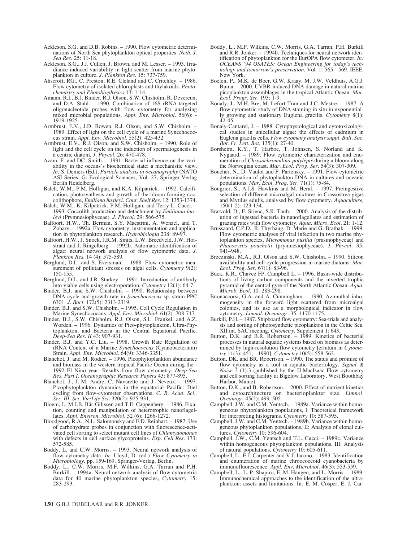- Ackleson, S.G. and D.B. Robins. 1990. Flow cytometric determinations of North Sea phytoplankton optical properties. *Neth. J. Sea Res.* 25: 11-18.
- Ackleson, S.G., J.J. Cullen, J. Brown, and M. Lesser. 1993. Irradiance-induced variability in light scatter from marine phytoplankton in culture. *J. Plankton Res.* 15: 737-759.
- Ahscroft, RG., C. Preston, R.E. Cleland and C. Critchley. 1986. Flow cytometry of isolated chloroplasts and thylakoids. *Photochemistry and Photobiophysics* 13: 1-14.
- Amann, R.I., B.J. Binder, R.J. Olson, S.W. Chisholm, R. Devereux, and D.A. Stahl. – 1990. Combination of 16S rRNA-targeted oligonucleotide probes with flow cytometry for analyzing mixed microbial populations. *Appl. Env. Microbiol.* 56(6): 1919-1925.
- Armbrust, E.V., J.D. Bowen, R.J. Olson, and S.W. Chisholm. 1989. Effect of light on the cell cycle of a marine Synechococcus strain. *Appl. Env. Microbiol.* 55(2): 425-432.
- Armbrust, E.V., R.J. Olson, and S.W. Chisholm. 1990. Role of light and the cell cycle on the induction of spermatogenesis in a centric diatom. *J. Phycol.* 26: 470-478.
- Azam, F. and DC. Smith. 1991. Bacterial influence on the variability in the oceans's biochemical state: a mechanistic view. *In:* S. Demers (Ed.), *Particle analysis in oceanography* (NATO ASI Series, G: Ecological Sciences, Vol. 27, Springer-Verlag Berlin Heidelberg.
- Balch, W.M., P.M. Holligan, and K.A. Kilpatrick. 1992. Calcification, photosynthesis and growth of the bloom-forming coccolithophore, *Emiliana huxleyi*. *Cont. Shelf Res.* 12: 1353-1374.
- Balch, W.M., K. Kilpatrick, P.M. Holligan, and Terry L. Cucci. 1993. Coccolith production and detachment by *Emiliania huxleyi* (Prymnesiophyceae). *J. Phycol.* 29: 566-575.
- Balfoort, H.W., Th. Berman, S.Y. Maestrini, A. Wenzel, and T. Zohary. – 1992a. Flow cytometry: instrumentation and application in phytoplankton research. *Hydrobiologia* 238: 89-9.
- Balfoort, H.W., J. Snoek, J.R.M. Smits, L.W. Breedveld, J.W. Hofstraat and J. Ringelberg. – 1992b. Automatic identification of algae: neural network analysis of flow cytometric data. *J. Plankton Res.* 14 (4): 575-589.
- Berglund, D.L. and S. Eversman. 1988. Flow cytometric measurement of pollutant stresses on algal cells*. Cytometry* 9(2): 150-155.
- Berglund, D.L. and J.R. Starkey. 1991. Introduction of antibody into viable cells using electroporation*. Cytometry* 12(1): 64-7.
- Binder, B.J. and S.W. Chisholm. 1990. Relationship between DNA cycle and growth rate in *Synechococcus* sp. strain PPC 6301. *J. Bact.* 172(5): 2313-2319.
- Binder, B.J. and S.W. Chisholm. 1995. Cell Cycle Regulation in Marine Synechococcus. *Appl. Env. Microbiol.* 61(2): 708-717.
- Binder, B.J., S.W. Chisholm, R.J. Olson, S.L. Frankel, and A.Z. Worden. – 1996. Dynamics of Pico-phytoplankton, Ultra-Phytoplankton, and Bacteria in the Central Equatorial Pacific. *Deep-Sea Res. II* 43: 907-931.
- Binder, B.J. and Y.C. Liu. 1998. Growth Rate Regulation of rRNA Content of a Marine *Synechococcus* (Cyanobacterium) Strain. *Appl. Env. Microbiol.* 64(9): 3346-3351.
- Blanchot, J. and M. Rodier. 1996. Picophytoplankton abundance and biomass in the western tropical Pacific Ocean during the - 1992 El Nino year: Results from flow cytometry. *Deep-Sea Res. Part I, Oceanographic Research Papers* 43: 877-895.
- Blanchot, J., J.-M. Andre, C. Navarette and J. Neveux. 1997. Picophytoplankton dynamics in the equatorial Pacific: Diel cycling from flow-cytometer observations. *C. R. Acad. Sci., Ser. III. Sci. Vie/Life Sci.* 320(2): 925-931,
- Bloem, J., M.J.B. Bär-Gilissen and T.E. Cappenberg. 1986. Fixation, counting and manipulation of heterotrophic nanoflagellates. *Appl. Environ. Microbiol*. 52 (6): 1266-1272.
- Bloodgood, R.A., N.L. Salomonsky and F.D. Reinhart. 1987. Use of carbohydrate probes in conjunction with fluorescence-activated cell sorting to select mutant cell lines of *Chlamydomonas* with defects in cell surface glycoproteins. *Exp. Cell Res.* 173: 572-585.
- Boddy, L. and C.W. Morris. 1993. Neural network analysis of flow cytometry data. *In:* Lloyd, D. (ed.) *Flow Cytometry in Microbiology*, pp. 159-169. Springer-Verlag, Berlin.
- Boddy, L., C.W. Morris, M.F. Wilkins, G.A. Tarran and P.H. Burkill. – 1994a. Neural network analysis of flow cytometric data for 40 marine phytoplankton species, *Cytometry* 15: 283-293.
- Boddy, L., M.F. Wilkins, C.W. Morris, G.A. Tarran, P.H. Burkill and R.R. Jonker. – 1994b. Techniques for neural network identification of phytoplankton for the EurOPA flow cytometer. *In: OCEANS '94 OSATES: Ocean Engineering for today's technology and tomorrow's preservation.* Vol. 1: 565 - 569. IEEE, New York.
- Boelen, P., M.K. de Boer, G.W. Kraay, M. J.W. Veldhuis, A.G.J. Buma. – 2000. UVBR-induced DNA damage in natural marine picoplankton assemblages in the tropical Atlantic Ocean. *Mar. Ecol. Progr. Ser.* 193: 1-9.
- Bonaly, J., M.H. Bre, M. Lefort-Tran and J.C. Mestre. 1987. A flow cytometric study of DNA staining in situ in exponentially growing and stationary Euglena gracilis*. Cytometry* 8(1): 42-45.
- Bonaly-Cantarel, J. 1988. Cytophysiological and cytotoxicological studies in unicellular algae: the effects of cadmium in Euglena gracilis cells. *Flow cytometry analysis suppl. Bull. Soc. Bot. Fr. Lett. Bot.* 135(1): 27-40.
- Borsheim, K.Y., T. Harboe, T. Johnsen, S. Norland and K. Nygaard. – 1989. Flow cytometric characterization and enumeration of *Chrysochromulina-polylepis* during a bloom along the Norwegian coast. *Mar. Ecol. Prog. Ser.* 54(3): 307-309.
- Boucher, N., D. Vaulot and F. Partensky. 1991. Flow cytometric determination of phytoplankton DNA in cultures and oceanic populations. *Mar. Ecol. Prog. Ser.* 71(1): 75-84.
- Bougrier, S., A.J.S. Hawkins and M. Heral. 1997. Preingestive selection of different microalgal mixtures in Crassostrea gigas and Mytilus edulis, analysed by flow cytometry. *Aquaculture,* 150(1-2): 123-134.
- Bratvold, D., F. Srienc, S.R. Taub. 2000. Analysis of the distribution of ingested bacteria in nanoflagellates and estimation of grazing rates with flow cytometry. *Aqua. Micro. Ecol.* 21: 1-12.
- Brussaard, C.P.D., R. Thyrhaug, D. Marie and G. Bratbak. 1999. Flow cytometric analyses of viral infection in two marine phytoplankton species, *Micromonas pusilla* (prasinophyceae) and *Phaeocystis pouchetii* (prymnesiophyceae). *J. Phycol.* 35: 941–948.
- Brzezinski, M.A., R.J. Olson and S.W. Chisholm. 1990. Silicon availability and cell-cycle progression in marine diatoms. *Mar. Ecol. Prog. Ser.* 67(1): 83-96.
- Buck, K.R., Chavez FP, Campbell L. 1996. Basin-wide distributions of living carbon components and the inverted trophic pyramid of the central gyre of the North Atlantic Ocean. *Aqua. Microb. Ecol.* 10: 283-298.
- Buonaccorsi, G.A. and A. Cunningham. 1990. Azimuthal inhomogeneity in the forward light scattered from microalgal colonies, and its use as a morphological indicator in flow cytometry. *Limnol. Oceanogr.* 35: 1170-1175.
- Burkill, P.H. 1987. Shipboard flow cytometry: Sea-trials and analysis and sorting of photosynthetic picoplankton in the Celtic Sea. XII int. SAC meeting*. Cytometry*, Supplement 1: 643.
- Button, D.K. and B.R. Robertson. 1989. Kinetics of bacterial processes in natural aquatic systems based on biomass as determined by high-resolution flow cytometry [erratum in *Cytometry* 11(3): 451, - 1990]. *Cytometry* 10(5): 558-563.
- Button, DK. and BR. Robertson. 1990. The status and promise of flow cytometry as a tool in aquatic bacteriology. *Signal & Noise* 3 (1):3 (published by the JJ.MacIsaac Flow cytometry and cell sorting facility at Bigelow Laboratory, West Boothbay Harbor, Maine).
- Button, D.K., and B. Robertson. 2000. Effect of nutrient kinetics and cytoarchitecture on bacterioplankter size. *Limnol. Oceanogr.* 45(2): 499–505.
- Campbell, J.W. and C.M. Yentsch. 1989a. Variance within homogeneous phytoplankton populations, I: Theoretical framework for interpreting histograms*. Cytometry* 10: 587-595.
- Campbell, J.W. and C.M. Yentsch. 1989b. Variance within homogeneous phytoplankton populations, II: Analysis of clonal cultures*. Cytometry* 10: 596-604.
- Campbell, J.W., C.M. Yentsch and T.L. Cucci. 1989c. Variance within homogeneous phytoplankton populations, III: Analysis of natural populations*. Cytometry* 10: 605-611.
- Campbell, L., E.J. Carpenter and V.J. Iacono. 1983. Identification and enumeration of marine chroococcoid cyanobacteria by immunofluorescence. *Appl. Env. Microbiol.* 46(3): 553-559.
- Campbell, L., L. P. Shapiro, E. M. Haugen, and L. Morris. 1989. Immunochemical approaches to the identification of the ultraplankton: assets and limitations. In*:* E. M. Cosper, E. J. Car-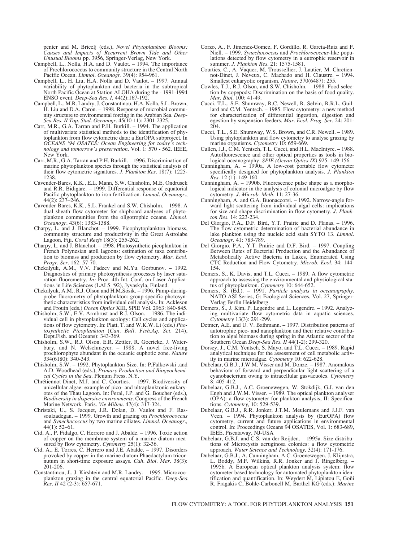penter and M. Bricelj (eds.), *Novel Phytoplankton Blooms: Causes and Impacts of Recurrent Brown Tide and Other Unusual Blooms* pp. 3956, Springer-Verlag, New York.

- Campbell, L., Nolla, H.A. and D. Vaulot. 1994. The importance of Prochlorococcus to community structure in the Central North Pacific Ocean. *Limnol. Oceanogr.* 39(4): 954-961.
- Campbell, L., H. Liu, H.A. Nolla and D. Vaulot. 1997. Annual variability of phytoplankton and bacteria in the subtropical North Pacific Ocean at Station ALOHA during the - 1991-1994 ENSO event. *Deep-Sea Res. I*, 44(2):167-192.
- Campbell, L., M.R. Landry, J. Constantinou, H.A. Nolla, S.L. Brown, H. Liu and D.A. Caron. – 1998. Response of microbial community structure to environmental forcing in the Arabian Sea. *Deep-Sea Res. II Top. Stud. Oceanogr*. 45(10-11): 2301-2325.
- Carr, M.R., G.A. Tarran and P.H. Burkill. 1994. The application of multivariate statistical methods to the identification of phytoplankton from flow cytometric data: a EurOPA subproject. In *OCEANS '94 OSATES: Ocean Engineering for today's technology and tomorrow's preservation.* Vol. 1: 570 - 562. IEEE, New York.
- Carr, M.R., G.A. Tarran and P.H. Burkill. 1996. Discrimination of marine phytoplankton species through the statistical analysis of their flow cytometric signatures. *J. Plankton Res.* 18(7): 1225- 1238
- Cavender-Bares, K.K., E.L. Mann, S.W. Chisholm, M.E. Ondrusek and R.R. Bidigare. – 1999. Differential response of equatorial Pacific phytoplankton to iron fertilization. *Limnol. Oceanogr.*, 44(2): 237–246.
- Cavender-Bares, K.K., S.L. Frankel and S.W. Chisholm. 1998. A dual sheath flow cytometer for shipboard analyses of phytoplankton communities from the oligotrophic oceans. *Limnol. Oceanogr.* 43(6): 1383-1388.
- Charpy, L. and J. Blanchot. 1999. Picophytoplankton biomass, community structure and productivity in the Great Astrolabe Lagoon, Fiji. *Coral Reefs* 18(3): 255-262.
- Charpy, L. and J. Blanchot. 1998. Photosynthetic picoplankton in French Polynesian atoll lagoons: estimation of taxa contribution to biomass and production by flow cytometry. *Mar. Ecol. Progr. Ser.* 162: 57-70.
- Chekalyuk, A.M., V.V. Fadeev and M.Yu. Gorbunov. 1992. Diagnostics of primary photosynthesis processes by laser saturation fluorometry. *In:* Proc. 4th Int. Conf. on Laser Applications in Life Sciences (LALS '92), Jyvaskyla, Finland.
- Chekalyuk, A.M., R.J. Olson and H.M.Sosik. 1996. Pump-duringprobe fluorometry of phytoplankton: group specific photosynthetic characteristics from individual cell analysis. In: Ackleson and Frouin (eds.) *Ocean Optics* XIII, SPIE Vol. 2963: 840-845.
- Chisholm, S.W., E.V. Armbrust and R.J. Olson. 1986. The individual cell in phytoplankton ecology: Cell cycles and applications of flow cytometry. In: Platt, T. and W.K.W. Li (eds.) *Photosynthetic Picoplankton* (*Can. Bull. Fish.Aq. Sci.* 214), Dept.Fish. and Oceans): 343-369.
- Chisholm, S.W., R.J. Olson, E.R. Zettler, R. Goericke, J. Waterbury, and N. Welschmeyer. – 1988. A novel free-living prochlorophyte abundant in the oceanic euphotic zone. *Nature* 334(6180): 340-343.
- Chisholm, S.W. 1992. Phytoplankton Size. In: P.Falkowski .and A.D. Woodhead (eds.), *Primary Production and Biogeochemical Cycles in the Sea.* Plenum Press, N.Y.
- Chrétiennot-Dinet, M.J. and C. Courties. 1997. Biodiversity of unicellular algae: example of pico- and ultraplanktonic eukaryotes of the Thau Lagoon. In: Feral, J.P. and G. Boucher (eds.)*, Biodiversity in dispersive environments*. Congress of the French Marine Network. Paris. *Vie Milieu.* 47(4): 317-324.
- Christaki, U., S. Jacquet, J.R. Dolan, D. Vaulot and F. Rassoulzadegan. – 1999. Growth and grazing on *Prochlorococcus* and *Synechococcus* by two marine ciliates. *Limnol. Oceanogr.,* 44(1): 52–61.
- Cid, A., P. Fidalgo, C. Herrero and J. Abalde. 1996. Toxic action of copper on the membrane system of a marine diatom measured by flow cytometry. *Cytometry* 25(1): 32-36.
- Cid, A., E. Torres, C. Herrero and J.E. Abalde. 1997. Disorders provoked by copper in the marine diatom Phaedactylum tricornutum in short-time exposure assays. *Cah. Biol. Mar.* 38(3): 201-206.
- Constantinou, J., J. Kirshtein and M.R. Landry. 1995. Microzooplankton grazing in the central equatorial Pacific. *Deep-Sea Res. II* 42 (2-3): 657-671.
- Corzo, A., F. Jimenez-Gomez, F. Gordillo, R. Garcia-Ruiz and F. Niell. – 1999. *Synechococcus* and *Prochlorococcus*-like populations detected by flow cytometry in a eutrophic reservoir in summer. *J. Plankton Res.* 21: 1575-1581.
- Courties, C., A. Vaquer, M. Troussellier, J. Lautier, M. Chretiennot-Dinet, J. Neveux, C. Machado and H. Claustre. – 1994. Smallest eukaryotic organism. *Nature*, 370(6487): 255.
- Cowles, T.J., R.J. Olson, and S.W. Chisholm. 1988. Food selection by copepods: Discrimination on the basis of food quality. *Mar. Biol.* 100: 41-49.
- Cucci, T.L., S.E. Shumway, R.C. Newell, R. Selvin, R.R.L. Guillard and C.M. Yentsch. – 1985. Flow cytometry: a new method for characterization of differential ingestion, digestion and egestion by suspension feeders. *Mar. Ecol. Prog. Ser.* 24: 201-  $204.$
- Cucci, T.L., S.E. Shumway, W.S. Brown, and C.R. Newell. 1989. Using phytoplankton and flow cytometry to analyse grazing by marine organisms*. Cytometry* 10: 659-669.
- Cullen, J.J., C.M. Yentsch, T.L. Cucci, and H.L. MacIntyre. 1988. Autofluorescence and other optical properties as tools in biological oceanography. *SPIE (Ocean Optics IX)* 925: 149-156.
- Cunningham, A. 1990a. A low-cost portable flow cytometer specifically designed for phytoplankton analysis. *J. Plankton Res.* 12 (1): 149-160.
- Cunningham, A. 1990b. Fluorescence pulse shape as a morphological indicator in the analysis of colonial microalgae by flow cytometry. *J. Microb. Meth.* 11: 27-36.
- Cunningham, A. and G.A. Buonaccorsi. 1992. Narrow-angle forward light scattering from individual algal cells: implications for size and shape discrimination in flow cytometry. *J. Plankton Res.* 14: 223-234.
- Del Giorgio, P.A., D.F. Bird, Y.T. Prairie and D. Planas. 1996. The flow cytometric determination of bacterial abundance in lake plankton using the nucleic acid stain SYTO 13. *Limnol. Oceanogr.* 41: 783-789.
- Del Giorgio, P.A., Y.T. Prairie and D.F. Bird. 1997. Coupling Between Rates of Bacterial Production and the Abundance of Metabolically Active Bacteria in Lakes, Enumerated Using CTC Reduction and Flow Cytometry. *Microb. Ecol.* 34: 144- 154.
- Demers, S., K. Davis, and T.L. Cucci. 1989. A flow cytometric approach to assessing the environmental and physiological status of phytoplankton*. Cytometry* 10: 644-652.
- Demers, S. (Ed.). 1991. *Particle analysis in oceanography.* NATO ASI Series, G: Ecological Sciences, Vol. 27, Springer-Verlag Berlin Heidelberg.
- Demers, S., J. Kim, P. Legendre and L. Legendre. 1992. Analyzing multivariate flow cytometric data in aquatic sciences*. Cytometry* 13(3): 291-299.
- Detmer, A.E. and U. V. Bathmann. 1997. Distribution patterns of autotrophic pico- and nanoplankton and their relative contribution to algal biomass during spring in the Atlantic sector of the Southern Ocean *Deep-Sea Res. II* 44(1-2): 299-320.
- Dorsey, J., C.M. Yentsch, S. Mayo, and T.L. Cucci. 1989. Rapid analytical technique for the assessment of cell metabolic activity in marine microalgae*. Cytometry* 10: 622-628.
- Dubelaar, G.B.J., J.W.M. Visser and M. Donze. 1987. Anomalous behaviour of forward and perpendicular light scattering of a cyanobacterium owing to intracellular gasvacuoles*. Cytometry* 8: 405-412.
- Dubelaar, G.B.J., A.C. Groenewegen, W. Stokdijk, G.J. van den Engh and J.W.M. Visser. – 1989. The optical plankton analyser (OPA): a flow cytometer for plankton analysis, II: Specifications. *Cytometry,* 10: 529-539.
- Dubelaar, G.B.J., R.R. Jonker, J.T.M. Meulemans and J.J.F. van Veen. – 1994. Phytoplankton analysis by (EurOPA) flow cytometry, current and future applications in environmental control. In: Proceedings Oceans 94 OSATES, Vol. 1: 683-689, IEEE, Piscataway, NJ-USA
- Dubelaar, G.B.J. and C.S. van der Reijden. 1995a. Size distributions of Microcystis aeruginosa colonies: a flow cytometric approach. *Water Science and Technology,* 32(4): 171-176.
- Dubelaar, G.B.J., A. Cunningham, A.C. Groenewegen, J. Klijnstra, L. Boddy, M.F. Wilkins, R.R. Jonker and J. Ringelberg. – 1995b. A European optical plankton analysis system: flow cytometer based technology for automated phytoplankton identification and quantification. In: Weydert M, Lipiatou E, Goñi R, Fragakis C, Bohle-Carbonell M, Barthel KG (eds.): *Marine*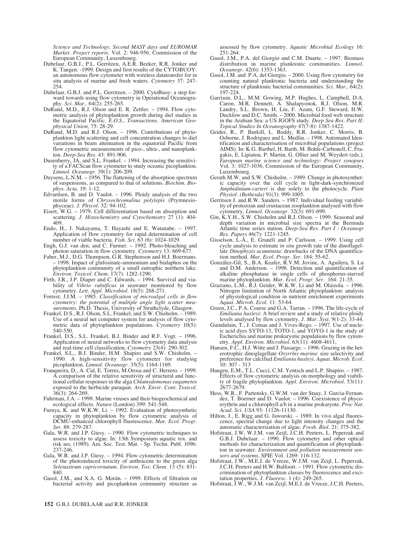*Science and Technology, Second MAST days and EUROMAR Market. Project reports.* Vol. 2: 946-956. Commission of the European Community, Luxembourg.

- Dubelaar, G.B.J., P.L. Gerritzen, A.E.R. Beeker, R.R. Jonker and K. Tangen. -1999. Design and first results of the CYTOBUOY: an autonomous flow cytometer with wireless datatransfer for in situ analysis of marine and fresh waters. *Cytometry* 37: 247- 254.
- Dubelaar, G.B.J. and P.L. Gerritzen. 2000. CytoBuoy: a step forward towards using flow cytometry in Operational Oceanography. *Sci. Mar.,* 64(2): 255-265.
- DuRand, M.D., R.J. Olson and E. R. Zettler. 1994. Flow cytometric analysis of phytoplankton growth during diel studies in the Equatorial Pacific. *E.O.S., Transactions, American Geophysical Union,* 75: 28-29.
- DuRand, M.D. and R.J. Olson. 1996. Contributions of phytoplankton light scattering and cell concentration changes to diel variations in beam attenuation in the equatorial Pacific from flow cytometric measurements of pico-, ultra-, and nanoplankton. *Deep-Sea Res.* 43: 891-906.
- Dusenberry, JA, and S.L. Frankel. 1994. Increasing the sensitivity of a FACScan flow cytometer to study oceanic picoplankton. *Limnol. Oceanogr.* 39(1): 206-209.
- Duysens, L.N.M.  $-$  1956. The flattening of the absorption spectrum of suspensions, as compared to that of solutions. *Biochim. Biophys. Acta*. 19: 1-12.
- Edvardsen, B. and D. Vaulot. 1996. Ploidy analysis of the two motile forms of *Chrysochromulina polylepis* (Prymnesiophyceae). *J. Phycol.* 32: 94-102.
- Eisert, W.G. 1979. Cell differentiation based on absorption and scattering. *J. Histochemistry and Cytochemistry* 27 (1): 404- 409.
- Endo, H., J. Nakayama, T. Hayashi and E. Watanabe. 1997. Application of flow cytometry for rapid determination of cell number of viable bacteria. *Fish. Sci.* 63 *(*6): 1024-1029.
- Engh, G.J. van den, and C. Farmer. 1992. Photo-bleaching and photon saturation in flow cytometry*. Cytometry* 13: 669-677.
- Faber, M.J., D.G. Thompson, G.R. Stephenson and H.J. Boermans. – 1998. Impact of glufosinate-ammonium and bialaphos on the phytoplankton community of a small eutrophic northern lake. *Environ. Toxicol. Chem.* 17(7): 1282-1290.
- Firth, J.R., J.P. Diaper and C. Edwards. 1994. Survival and viability of *Vibrio vulnificus* in seawater monitored by flow cytometry. *Lett. Appl. Microbiol.* 18(5): 268-271.
- Forrest, J.I.M. 1985. *Classification of microalgal cells in flow cytometry: the potential of multiple angle light scatter measurements*. Ph.D. Thesis, University of Strathclyde, Glasgow.
- Frankel, D.S., R.J. Olson, S.L. Frankel, and S.W. Chisholm. 1989. Use of a neural net computer system for analysis of flow cytometric data of phytoplankton populations*. Cytometry* 10(5): 540-550.
- Frankel, D.S., S.L. Frankel, B.J. Binder and R.F. Vogt. 1996. Application of neural networks to flow cytometry data analysis and real-time cell classification, *Cytometry* 23(4): 290-302.
- Frankel, S.L., B.J. Binder, H.M. Shapiro and S.W. Chisholm. 1990. A high-sensitivity flow cytometer for studying picoplankton. *Limnol. Oceanogr.* 35(5): 1164-1169.
- Franqueira, D., A. Cid, E. Torres, M.Orosa and C. Herrero. 1999. A comparison of the relative sensitivity of structural and functional cellular responses in the alga *Chlamydomonas eugametos* exposed to the herbicide paraquat. *Arch. Envir. Cont. Toxicol.* 36(3): 264-269.
- Fuhrman, J.A. 1999. Marine viruses and their biogeochemical and ecological effects. *Nature* (London) 399: 541-548.
- Furuya, K. and W.K.W. Li. 1992. Evaluation of photosynthetic capacity in phytoplankton by flow cytometric analysis of DCMU-enhanced chlorophyll fluorescence. *Mar. Ecol. Progr. Ser.* 88: 279-287.
- Gala, W.R. and J.P. Giesy. 1990. Flow cytometric techniques to assess toxicity to algae. In: 13th Symposium aquatic tox. and risk ass. (1989). Am. Soc. Test. Mat. - Sp. Techn. Publ. 1096: 237-246.
- Gala, W.R. and J.P. Giesy. 1994. Flow cytometric determination of the photoinduced toxicity of anthracene to the green alga *Selenastrum capricornutum*. *Environ. Tox. Chem.* 13 (5): 831- 840.
- Gasol, J.M., and X.A. G. Morán. 1999. Effects of filtration on bacterial activity and picoplankton community structure as

assessed by flow cytometry. *Aquatic Microbial Ecology* 16: 251-264.

- Gasol, J.M., P.A. del Giorgio and C.M. Duarte. 1997. Biomass distribution in marine planktonic communities. *Limnol. Oceanogr.* 42(6): 1353-1363.
- Gasol, J.M. and P.A. del Giorgio. 2000. Using flow cytometry for counting natural planktonic bacteria and understanding the structure of planktonic bacterial communities. *Sci. Mar.,* 64(2): 197-224.<br>Garrison, D.L.
- Garrison, D.L., M.M. Gowing, M.P. Hughes, L. Campbell, D.A. Caron, M.R. Dennett, A. Shalapyonok, R.J. Olson, M.R. Landry, S.L. Brown, H. Liu, F. Azam, G.F. Steward, H.W. Ducklow and D.C. Smith. – 2000. Microbial food web structure in the Arabian Sea: a US JGOFS study. *Deep Sea Res. Part II: Topical Studies In Oceanography* 47(7-8): 1387-1422.
- Geider, R., P. Burkill, L. Boddy, R.R. Jonker, C. Morris, B. Osborne, J. Rodriguez and L. Medlin. – 1998. Automated Identification and characterisation of microbial populations (project AIMS). In: K.G. Barthel, H. Barth, M. Bohle-Carbonell, C. Fragakis, E. Lipiatou, P. Martin, G. Ollier and M. Weydert (eds.), *European marine science and technology: Project synopses* Vol. 3: 1027-1036, Commission of the European Community, Luxembourg.
- Gerath M.W. and S.W. Chisholm. 1989. Change in photosynthetic capacity over the cell cycle in light-dark-synchronized *Amphidinium-carteri* is due solely to the photocycle. *Plant Physiol. (Bethesda)* 91(3): 999-1005.
- Gerritsen J. and R.W. Sanders. 1987. Individual feeding variability of protozoan and crustacean zooplankton analysed with flow cytometry. *Limnol. Oceanogr.* 32(3): 691-699.
- Gin, K.Y.H., S.W. Chisholm and R.J. Olson. 1999. Seasonal and depth variation in microbial size spectra at the Bermuda Atlantic time series station. *Deep-Sea Res. Part I : Oceanogr Res. Papers* 46(7): 1221-1245.
- Gisselson, L-Å., E. Granéli and P. Carlsson. 1999. Using cell cycle analysis to estimate *in situ* growth rate of the dinoflagellate *Dinophysis acuminata*: drawbacks of the DNA quantification method. *Mar. Ecol. Progr. Ser.* 184: 55-62.
- González-Gil, S., B.A. Keafer, R.V.M. Jovine, A. Aguilera, S. Lu and D.M. Anderson. – 1998. Detection and quantification of alkaline phosphatase in single cells of phosphorus-starved marine phytoplankton. *Mar. Ecol. Progr. Ser.* 164: 21-35.
- Graziano, L.M., R.J. Geider, W.K.W. Li and M. Olaizola. 1996. Nitrogen limitation of North Atlantic phytoplankton: analysis of physiological condition in nutrient enrichment experiments *Aquat. Microb. Ecol.* 11: 53-64.
- Green, J.C., P.A. Course and G.A. Tarran. 1996. The life-cycle of *Emiliania huxleyi*: A brief review and a study of relative ploidy levels analysed by flow cytometry. *J. Mar. Syst.* 9(1-2): 33-44.
- Guindulain, T., J. Comas and J. Vives-Rego. 1997. Use of nucleic acid dyes SYTO-13, TOTO-1, and YOYO-1 in the study of Escherichia and marine prokaryotic populations by flow cytometry. *Appl. Environ. Microbiol*. 63(11): 4608-4611,
- Hansen, F.C., H.J. Witte and J. Passarge. 1996. Grazing in the heterotrophic dinoglagellate *Oxyrrhis marina*: size selectivity and preference for calcified *Emiliania huxleyi*. *Aquat. Microb. Ecol.* 10: 307 - 313
- Haugen, E.M., T.L. Cucci, C.M. Yentsch and L.P. Shapiro. 1987. Effects of flow cytometric analysis on morphology and viability of fragile phytoplankton. *Appl. Environ. Microbiol.* 53(11): 2677-2679.
- Hess, W.R., F. Partensky, G.W.M. van der Staay, J. Garcia-Fernandez, T. Boerner and D. Vaulot. – 1996. Coexistence of phycoerythrin and a chlorophyll a/b in a marine prokaryote. *Proc Nat. Acad. Sci. USA* 93: 11126-11130.
- Hilton, J., E. Rigg and G. Jaworski. 1989. In vivo algal fluorescence, spectral change due to light intensity changes and the automatic characterization of algae. *Fresh. Biol.* 21: 375-382.
- Hofstraat, J.W, W.J.M. van Zeijl, J.C.H. Peeters, L. Peperzak and G.B.J. Dubelaar. – 1990. Flow cytometry and other optical methods for characterization and quantification of phytoplankton in seawater. *Environment and pollution measurement sensors and systems*, SPIE Vol. 1269: 116-132.
- Hofstraat, J.W., M.E.J. de Vreeze, W.J.M. van Zeijl, L. Peperzak, J.C.H. Peeters and H.W. Balfoort. – 1991. Flow cytometric discrimination of phytoplankton classes by fluorescence and excitation properties, *J. Fluoresc.* 1 (4): 249-265.
- Hofstraat, J.W., W.J.M. van Zeijl, M.E.J. de Vreeze, J.C.H. Peeters,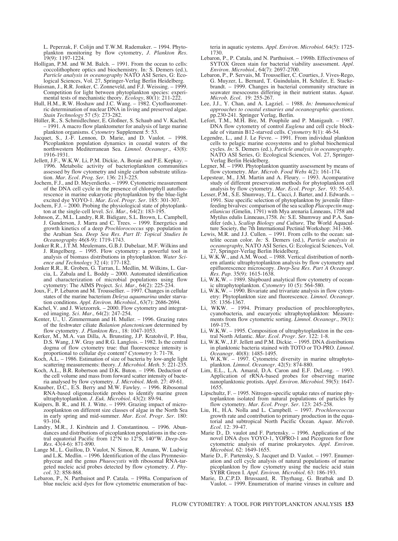L. Peperzak, F. Colijn and T.W.M. Rademaker. – 1994. Phytoplankton monitoring by flow cytometry, *J. Plankton Res.*  $19(9) \cdot 1197 - 1224$ 

- Holligan, P.M. and W.M. Balch. 1991. From the ocean to cells: coccolithophore optics and biochemistry. In*:* S. Demers (ed.), *Particle analysis in oceanography* NATO ASI Series, G: Ecological Sciences, Vol. 27, Springer-Verlag Berlin Heidelberg.
- Huisman, J., R.R. Jonker, C. Zonneveld, and F.J. Weissing. 1999. Competition for light between phytoplankton species: experimental tests of mechanistic theory. *Ecology*, 80(1): 211-222.
- Hull, H.M., R.W. Hoshaw and J.C. Wang. 1982. Cytofluorometric determination of nuclear DNA in living and preserved algae. *Stain Technology* 57 (5): 273-282.
- Hüller, R., S. Schmidlechner, E. Gloßner, S. Schaub and V. Kachel. – 1991. A macro flow planktometer for analysis of large marine plankton organisms*. Cytometry* Supplement 5: 53.
- Jacquet, S., J.-F. Lennon, D. Marie, and D. Vaulot. 1998. Picoplankton population dynamics in coastal waters of the northwestern Mediterranean Sea. *Limnol. Oceanogr.*, 43(8): 1916-1931.
- Jellett, J.F., W.K.W. Li, P.M. Dickie, A. Boraie and P.E. Kepkay. 1996. Metabolic activity of bacterioplankton communities assessed by flow cytometry and single carbon substrate utilization. *Mar. Ecol. Prog. Ser.* 136: 213-225.
- Jochem, F.J., and D. Meyerdierks. 1999. Cytometric measurement of the DNA cell cycle in the presence of chlorophyll autofluorescence in marine eukaryotic phytoplankton by the blue-light excited dye YOYO-1. *Mar. Ecol. Progr. Ser.* 185: 301-307.
- Jochem, F.J. 2000. Probing the physiological state of phytoplankton at the single-cell level. *Sci. Mar.,* 64(2): 183-195.
- Johnson, Z., M.L. Landry, R.R. Bidigare, S.L. Brown, L. Campbell, J. Gunderson, J. Marra and C. Trees. – 1999. Energetics and growth kinetics of a deep *Prochlorococcus* spp. population in the Arabian Sea. *Deep Sea Res. Part II: Topical Studies In Oceanography* 46(8-9): 1719-1743.
- Jonker R.R., J.T.M. Meulemans, G.B.J. Dubelaar, M.F. Wilkins and J. Ringelberg. – 1995. Flow cytometry: a powerful tool in analysis of biomass distributions in phytoplankton. *Water Science and Technology* 32 (4): 177-182.
- Jonker R.R., R. Groben, G. Tarran, L. Medlin, M. Wilkins, L. Garcia, L. Zabala and L. Boddy – 2000. Automated identification and characterization of microbial populations using flow cytometry: The AIMS Project. *Sci. Mar.,* 64(2): 225-234.
- Joux, F., P. Lebaron and M. Troussellier. 1997. Changes in cellular states of the marine bacterium *Deleya aquamarina* under starvation conditions. *Appl. Environ. Microbiol.*, 63(7): 2686-2694.
- Kachel, V. and J. Wietzorrek. 2000. Flow cytometry and integrated imaging. *Sci. Mar.,* 64(2): 247-254.
- Kenter, U., U. Zimmermann and H. Muller. 1996. Grazing rates of the feshwater ciliate *Balanion planctonicum* determined by flow cytometry. *J. Plankton Res.*, 18: 1047-1053.
- Kerker, M., M.A. van Dilla, A. Brunsting, J.P. Kratohvil, P. Hsu, D.S. Wang, J.W. Gray and R.G. Langlois. – 1982. Is the central dogma of flow cytometry true: that fluorescence intensity is proportional to cellular dye content? *Cytometry* 3: 71-78.
- Koch, A.L. 1986. Estimation of size of bacteria by low-angle light scattering measurements: theory. *J. Microbiol. Meth.* 5: 221-235.
- Koch, A.L., B.R. Robertson and D.K. Buton. 1996. Deduction of the cell volume and mass from forward scatter intensity of bacteria analysed by flow cytometry. *J. Microbiol. Meth.* 27: 49-61.
- Knauber, D.C., E.S. Berry and M.W. Fawley. 1996. Ribosomal RNA-based oligonucleotide probes to identify marine green ultraphytoplankton. *J. Euk. Microbiol*. 43(2): 89-94.
- Kuipers, B. R., and H. J. Witte. 1999. Grazing impact of microzooplankton on different size classes of algae in the North Sea in early spring and mid-summer. *Mar. Ecol. Progr. Ser.* 180: 93-104.
- Landry, M.R., J. Kirshtein and J. Constantinou. 1996. Abundances and distributions of picoplankton populations in the central equatorial Pacific from 12°N to 12°S, 140°W. *Deep-Sea Res.* 43(4-6): 871-890.
- Lange M., L. Guillou, D. Vaulot, N. Simon, R. Amann, W. Ludwig and L.K. Medlin. – 1996. Identification of the class Prymnesiophyceae and the genus *Phaeocystis* with ribosomal RNA-targeted nucleic acid probes detected by flow cytometry. *J. Phycol.* 32: 858-868.
- Lebaron, P., N. Parthuisot and P. Catala. 1998a. Comparison of blue nucleic acid dyes for flow cytometric enumeration of bac-

teria in aquatic systems. *Appl. Environ. Microbiol.* 64(5): 1725- 1730.

- Lebaron, P., P. Catala, and N. Parthuisot. 1998b. Effectiveness of SYTOX Green stain for bacterial viability assessment. *Appl. Environ. Microbiol.*, 64(7): 2697-2700.
- Lebaron, P., P. Servais, M. Troussellier, C. Courties, J. Vives-Rego, G. Muyzer, L. Bernard, T. Guindulain, H. Schäfer, E. Stackebrandt. – 1999. Changes in bacterial community structure in seawater mesocosms differing in their nutrient status. *Aquat. Microb. Ecol.* 19: 255-267.
- Lee, J.J., Y. Chan, and A. Lagziel. 1988. *In: Immunochemical approaches to coastal estuaries and oceanographic questions.* pp.230-241. Springer Verlag, Berlin.
- Lefort, T.M., M.H. Bre, M. Pouphile and P. Manigault. 1987. DNA flow cytometry of control *Euglena* and cell cycle blockade of vitamin B12-starved cells*. Cytometry* 8(1): 46-54.
- Legendre, L., and J. Le Fevre. 1991. From individual plankton cells to pelagic marine ecosystems and to global biochemical cycles. *In:* S. Demers (ed.), *Particle analysis in oceanography.* NATO ASI Series, G: Ecological Sciences*,* Vol. 27, Springer-Verlag Berlin Heidelberg.
- Legner, M. 1990. Phytoplankton quantity assessment by means of flow cytometry. *Mar. Microb. Food Webs* 4(2): 161-174.
- Lepesteur, M., J.M. Martin and A. Fleury. 1993. Acomparative study of different preservation methods for phytoplankton cell analysis by flow cytometry. *Mar. Ecol. Progr. Ser.* 93: 55-63.
- Lesser, P.M., S.E. Shumway, T.L. Cucci, J. Barter, and J. Edwards. 1991. Size specific selection of phytoplankton by juvenile filterfeeding bivalves: comparison of the sea scallop *Placopectin magellanicus* (Gmelin, 1791) with Mya arenaria Linneaus, 1758 and Mytilus edulis Linneaus,1758. *In:* S.E. Shumway and P.A. Sandifer (eds.), *Scallop Biology and Culture,* The World Aquaculture Society, the 7th International Pectinid Workshop: 341-346.
- Lewis, M.R. and J.J. Cullen. 1991. From cells to the ocean: sattelite ocean color. *In:* S. Demers (ed.), *Particle analysis in oceanography,* NATO ASI Series, G: Ecological Sciences, Vol. 27, Springer-Verlag Berlin Heidelberg.
- Li, W.K.W., and A.M. Wood. 1988. Vertical distribution of northern atlantic ultraphytoplankton analysis by flow cytometry and epifluorescence microscopy. *Deep-Sea Res. Part A Oceanogr. Res. Pap.* 35(9): 1615-1638.
- Li, W.K.W. 1989. Shipboard analytical flow cytometry of oceanic ultraphytoplankton*. Cytometry* 10 (5): 564-580.
- Li, W.K.W. 1990. Bivariate and trivariate analysis in flow cytometry: Phytoplankton size and fluorescence. *Limnol. Oceanogr.* 35: 1356-1367.
- Li, WKW. 1994. Primary production of prochlorophytes, cyanobacteria, and eucaryotic ultraphytoplankton: Measurements from flow cytometric sorting. *Limnol. Oceanogr.*, 39(1): 169-175.
- Li, W.K.W. 1995. Composition of ultraphytoplankton in the central North Atlantic. *Mar. Ecol. Progr. Ser.* 122: 1-8.
- Li, W.K.W., J.F. Jellett and P.M. Dickie. 1995. DNA distributions in planktonic bacteria stained with TOTO or TO-PRO. *Limnol. Oceanogr.* 40(8): 1485-1495.
- Li, W.K.W. 1997. Cytometric diversity in marine ultraphytoplankton. *Limnol. Oceanogr.* 42(5): 874-880.
- Lim, E.L., L.A. Amaral, D.A. Caron and E.F. DeLong. 1993. Application of rRNA-based probes for observing marine nanoplanktonic protists. *Appl. Environ. Microbiol.* 59(5): 1647- 1655.
- Lipschultz, F. 1995. Nitrogen-specific uptake rates of marine phytoplankton isolated from natural populations of particles by flow cytometry. *Mar. Ecol. Progr. Ser.* 123: 245-258.
- Liu, H., H.A. Nolla and L. Campbell. 1997. *Prochlorococcus* growth rate and contribution to primary production in the equatorial and subtropical North Pacific Ocean. *Aquat. Microb. Ecol.* 12: 39-47.
- Marie D., D. vaulot and F. Partensky. 1996. Application of the novel DNA dyes YOYO-1, YOPRO-1 and Picogreen for flow cytometric analysis of marine prokaryotes. *Appl. Environ. Microbiol.* 62: 1649-1655.
- Marie D., F. Partensky, S. Jacquet and D. Vaulot. 1997. Enumeration and cell cycle analysis of natural populations of marine picoplankton by flow cytometry using the nucleic acid stain SYBR Green I. *Appl. Environ. Microbiol.* 63: 186-193.
- Marie, D.,C.P.D. Brussaard, R. Thyrhaug, G. Bratbak and D. Vaulot. – 1999. Enumeration of marine viruses in culture and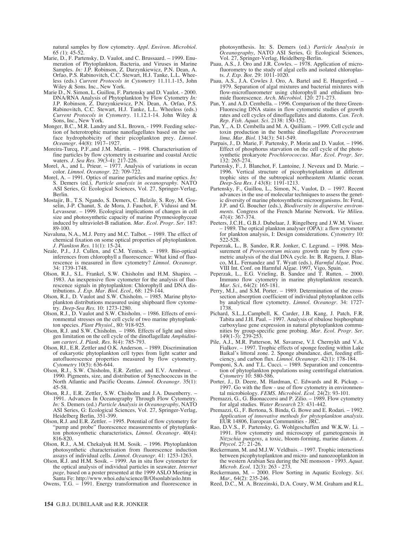natural samples by flow cytometry. *Appl. Environ. Microbiol.* 65 *(*1): 45-52.

- Marie, D., F. Partensky, D. Vaulot, and C. Brussaard. 1999. Enumeration of Phytoplankton, Bacteria, and Viruses in Marine Samples. *In:* J.P. Robinson, Z. Darzynkiewicz, P.N. Dean, A. Orfao, P.S. Rabinovitch, C.C. Stewart, H.J. Tanke, L.L. Wheeless (eds.) *Current Protocols in Cytometry* 11.11.1-15, John Wiley & Sons. Inc., New York.
- Marie D., N. Simon, L. Guillou, F. Partensky and D. Vaulot. 2000. DNA/RNA Analysis of Phytoplankton by Flow Cytometry *In:* J.P. Robinson, Z. Darzynkiewicz, P.N. Dean, A. Orfao, P.S. Rabinovitch, C.C. Stewart, H.J. Tanke, L.L. Wheeless (eds.) *Current Protocols in Cytometry.* 11.12.1-14. John Wiley & Sons, Inc., New York.
- Monger, B.C., M.R. Landry and S.L. Brown, 1999. Feeding selection of heterotrophic marine nanoflagellates based on the surface hydrophobicity of their picoplankton prey. *Limnol. Oceanogr.* 44(8): 1917–1927.
- Moreira-Turcq, P.F.,and J.M. Martin. 1998. Characterisation of fine particles by flow cytometry in estuarine and coastal Arctic waters. *J. Sea Res.* 39(3-4): 217-226.
- Morel, A., and L. Prieur. 1977. Analysis of variations in ocean color. *Limnol. Oceanogr.* 22: 709-722.
- Morel, A. 1991. Optics of marine particles and marine optics. *In:* S. Demers (ed.), *Particle analysis in oceanography.* NATO ASI Series, G: Ecological Sciences, Vol. 27, Springer-Verlag, Berlin.
- Mostajir, B., T.S. Ngando, S. Demers, C. Belzile, S. Roy, M. Gosselin, J-P. Chanut, S. de Mora, J. Fauchot, F. Vidussi and M. Levasseur. – 1999. Ecological implications of changes in cell size and photosynthetic capacity of marine Prymnesiophyceae induced by ultraviolet-B radiation. *Mar. Ecol. Progr. Ser.* 187: 89-100.
- Navaluna, N.A., M.J. Perry and M.C. Talbot. 1989. The effect of chemical fixation on some optical properties of phytoplankton. *J. Plankton Res.* 11(1): 15-24.
- Neale, P.J., J.J. Cullen, and C.M. Yentsch. 1989. Bio-optical inferences from chlorophyll a fluorescence: What kind of fluorescence is measured in flow cytometry? *Limnol. Oceanogr.* 34: 1739-1748.
- Olson, R.J., S.L. Frankel, S.W. Chisholm and H.M. Shapiro. 1983. An inexpensive flow cytometer for the analysis of fluorescence signals in phytoplankton: Chlorophyll and DNA distributions. *J. Exp. Mar. Biol. Ecol.,* 68: 129-144.
- Olson, R.J., D. Vaulot and S.W. Chisholm. 1985. Marine phytoplankton distributions measured using shipboard flow cytometry. *Deep-Sea Res.* 10: 1273-1280.
- Olson, R.J., D. Vaulot and S.W. Chisholm. 1986. Effects of environmental stresses on the cell cycle of two marine phytoplankton species. *Plant Physiol.*, 80: 918-925.
- Olson, R.J. and S.W. Chisholm. 1986. Effects of light and nitrogen limitation on the cell cycle of the dinoflagellate *Amphidinium carteri*. *J. Plank. Res.* 8(4): 785-793.
- Olson, RJ., E.R. Zettler and O.K. Anderson. 1989. Discrimination of eukaryotic phytoplankton cell types from light scatter and autofluorescence properties measured by flow cytometry*. Cytometry* 10(5): 636-644.
- Olson, R.J., S.W. Chisholm, E.R. Zettler, and E.V. Armbrust. 1990. Pigments, size, and distribution of Synechococcus in the North Atlantic and Pacific Oceans. *Limnol. Oceanogr.* 35(1): 45-58.
- Olson, R.J., E.R. Zettler, S.W. Chisholm and J.A. Dusenberry. 1991. Advances In Oceanography Through Flow Cytometry. *In:* S. Demers (ed.) *Particle Analysis in Oceanography*, NATO ASI Series, G: Ecological Sciences, Vol. 27, Springer-Verlag, Heidelberg Berlin, 351-399.
- Olson, R.J. and E.R. Zettler. 1995. Potential of flow cytometry for "pump and probe" fluorescence measurements of phytoplankton photosynthetic characteristics, *Limnol. Oceanogr.* 40(4): 816-820.
- Olson, R.J., A.M. Chekalyuk H.M. Sosik. 1996. Phytoplankton photosynthetic characterisation from fluorescence induction assays of individual cells. *Limnol. Oceanogr.* 41: 1253-1263.
- Olson, R.J. and H.M. Sosik. 1999. An in situ flow cytometer for the optical analysis of individual particles in seawater. *Internet page,* based on a poster presented at the 1999 ASLO Meeting in Santa Fe: http://www.whoi.edu/science/B/Olsonlab/aslo.htm

Owens, T.G. – 1991. Energy transformation and fluorescence in

photosynthesis. In: S. Demers (ed.) *Particle Analysis in Oceanography*, NATO ASI Series, G: Ecological Sciences, Vol. 27, Springer-Verlag, Heidelberg-Berlin*.*

- Paau, A.S., J. Oro and J.R. Cowles. 1978. Application of microfluorometry to the study of algal cells and isolated chloroplasts. *J. Exp. Bot.* 29: 1011-1020.
- Paau, A.S., J.A. Cowles J. Oro, A. Bartel and E. Hungerford. 1979. Separation of algal mixtures and bacterial mixtures with flow-microfluorometer using chlorophyll and ethidium bromide fluorescence. *Arch. Microbiol.* 120: 271-273.
- Pan, Y. and A.D. Cembella. 1996. Comparison of the three Green-Fluorescing DNA stains in flow cytometric studies of growth rates and cell cycles of dinoflagellates and diatoms. *Can. Tech. Rep. Fish. Aquat. Sci.* 2138: 150-152.
- Pan, Y., A. D. Cembella and M. A. Quilliam. 1999. Cell cycle and toxin production in the benthic dinoflagellate *Prorocentrum lima. Mar. Biol.* 134(3): 541-549.
- Parpais, J., D. Marie, F. Partensky, P. Morin and D. Vaulot. 1996. Effect of phosphorus starvation on the cell cycle of the photosynthetic prokaryote *Prochlorococcus*. *Mar. Ecol. Progr. Ser.* 132: 265-274.
- Partensky, F., J. Blanchot, F. Lantoine, J. Neveux and D. Marie. 1996. Vertical structure of picophytoplankton at different trophic sites of the subtropical northeastern Atlantic ocean. *Deep-Sea Res. I* 43(8): 1191-1213.
- Partensky, F., Guillou, L., Simon, N., Vaulot, D. 1997. Recent advances in the use of molecular techniques to assess the genetic diversity of marine photosynthetic microorganisms. In: Feral, J.P. and G. Boucher (eds.)*, Biodiversity in dispersive environments.* Congress of the French Marine Network. *Vie Milieu.* 47(4): 367-374.
- Peeters, J.C.H., G.B.J. Dubelaar, J. Ringelberg and J.W.M. Visser. – 1989. The optical plankton analyser (OPA): a flow cytometer for plankton analysis, I: Design considerations*. Cytometry* 10: 522-528.
- Peperzak, L., B. Sandee, R.R. Jonker, C. Legrand. 1998. Measurement of *Prorocentrum micans* growth rate by flow cytometric analysis of the dial DNA cycle. In: B. Reguera, J. Blanco, M.L. Fernandez and T. Wyatt (eds.), *Harmful Algae,* Proc. VIII Int. Conf. on Harmful Algae. 1997, Vigo, Spain.
- Peperzak, L., E.G. Vrieling, B. Sandee and T. Rutten. 2000. Immuno flow cytometry in marine phytoplankton research. *Mar. Sci.,* 64(2): 165-181.
- Perry, M.J., and S.M. Porter. 1989. Determination of the crosssection absorption coefficient of individual phytoplankton cells by analytical flow cytometry. *Limnol. Oceanogr.* 34: 1727- 1738.
- Pichard, S.L.,L.Campbell, K. Carder, J.B. Kang, J. Patch, F.R. Tabita and J.H. Paul. – 1997. Analysis of ribulose bisphosphate carboxylase gene expression in natural phytoplankton communities by group-specific gene probing. *Mar. Ecol. Progr. Ser*. 149(1-3): 239-253.
- Pile, A.J., M.R. Patterson, M. Savarese, V.I. Chernykh and V.A. Fialkov. – 1997. Trophic effects of sponge feeding within Lake Baikal's littoral zone. 2. Sponge abundance, diet, feeding efficiency, and carbon flux. *Limnol. Oceanogr.* 42(1): 178-184.
- Pomponi, S.A. and T.L. Cucci. 1989. Separation and concentration of phytoplankton populations using centrifugal elutriation*. Cytometry* 10: 580-586.
- Porter, J., D. Deere, M. Hardman, C. Edwards and R. Pickup. 1997. Go with the flow - use of flow cytometry in environmental microbiology. *FEMS. Microbiol. Ecol.* 24(2): 93-101.
- Premazzi, G., G. Buonaccorsi and P. Zilio. 1989. Flow cytometry for algal studies. *Water Research* 23: 431-442.
- Premazzi, G., F. Bertona, S. Binda, G. Bowe and E. Rodari. 1992. *Application of innovative methods for phytoplankton analysis.* EUR 14806, European Communities - JRC.
- Rao, D.V.S., F. Partensky, G. Wohlgeschaffen and W.K.W. Li. 1991. Flow cytometry and microscopy of gametogenesis in *Nitzschia pungens*, a toxic, bloom-forming, marine diatom. *J. Phycol.* 27: 21-26.
- Reckermann, M. and M.J.W. Veldhuis. 1997. Trophic interactions between picophytoplankton and micro- and nanozooplankton in the western Arabian Sea during the NE monsoon - 1993. *Aquat. Microb. Ecol.* 12(3): 263 - 273.
- Reckermann, M. 2000. Flow Sorting in Aquatic Ecology. Sci. *Mar.,* 64(2): 235-246.
- Reed, D.C., M. A. Brzezinski, D.A. Coury, W.M. Graham and R.L.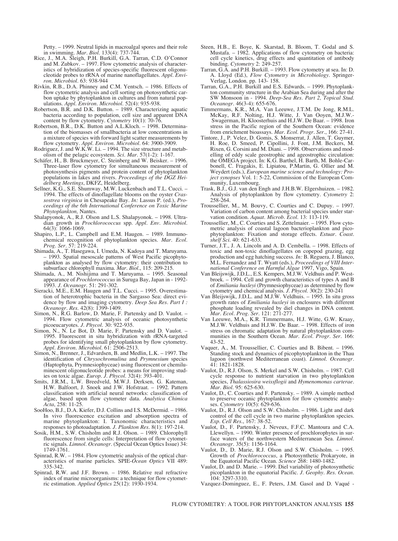Petty. – 1999. Neutral lipids in macroalgal spores and their role in swimming. *Mar. Biol.* 133(4): 737-744.

- Rice, J., M.A. Sleigh, P.H. Burkill, G.A. Tarran, C.D. O'Connor and M. Zubkov. – 1997. Flow cytometric analysis of characteristics of hybridization of species-specific fluorescent oligonucleotide probes to rRNA of marine nanoflagellates. *Appl. Environ. Microbiol.* 63: 938-944
- Rivkin, R.B., D.A. Phinney and C.M. Yentsch. 1986. Effects of flow cytometric analysis and cell sorting on photosynthetic carbon uptake by phytoplankton in cultures and from natural populations. *Appl. Environ. Microbiol.* 52(4): 935-938.
- Robertson, B.R. and D.K. Button. 1989. Characterizing aquatic bacteria according to population, cell size and apparent DNA content by flow cytometry*. Cytometry* 10(1): 70-76.
- Robertson, B.R., D.K. Button and A.L.Kloch. 1998. Determination of the biomasses of smallbacteria at low concentrations in a mixture of species with forward light scatter measurements by flow cytometry. *Appl. Environ. Microbiol.* 64: 3900-3909.
- Rodriguez, J. and W.K.W. Li. 1994. The size structure and metabolism of the pelagic ecosystem. *Sci. Mar.* 57(1-2): 1-167.
- Schäfer, H., B. Bruckmeyer, C. Steinberg and W. Beisker. 1996. Three-laser flow cytometry for simultaneous measurement of photosynthesis pigments and protein content of phytoplankton populations in lakes and rivers. *Proceedings of the DGZ Heidelberg Meetings*, DKFZ, Heidelberg.
- Sellner, K.G., S.E. Shumway, M.W. Luckenbach and T.L. Cucci. 1994. The effects of dinoflagellate blooms on the oyster *Crassostrea virginica* in Chesapeake Bay. *In:* Lassus P. (ed.), *Proceedings of the 6th International Conference on Toxic Marine Phytoplankton,* Nantes.
- Shalapyonok, A., R.J. Olson and L.S. Shalapyonok. 1998. Ultradian growth in *Prochlorococcus* spp. *Appl. Env. Microbiol.* 64(3): 1066-1069.
- Shapiro, L.P., L. Campbell and E.M. Haugen. 1989. Immunochemical recognition of phytoplankton species. *Mar. Ecol. Prog. Ser.* 57: 219-224.
- Shimada, A., T. Hasegawa, I. Umeda, N. Kadoya and T. Maruyama. – 1993. Spatial mesoscale patterns of West Pacific picophytoplankton as analysed by flow cytometry: their contribution to subsurface chlorophyll maxima. *Mar. Biol.*, 115: 209-215.
- Shimada, A., M. Nishijima and T. Maruyama. 1995. Seasonal appearance of *Prochlorococcus* in Suruga Bay, Japan in - 1992- 1993. *J. Oceanogr.* 51: 291-302.
- Sieracki, M.E., E.M. Haugen and T.L. Cucci. 1995. Overestimation of heterotrophic bacteria in the Sargasso Sea: direct evidence by flow and imaging cytometry. *Deep Sea Res. Part I : Oceanogr. Res.* 42(8): 1399-1409.
- Simon, N., R.G. Barlow, D. Marie, F. Partensky and D. Vaulot. 1994. Flow cytometric analysis of oceanic photosynthetic picoeucaryotes. *J. Phycol.* 30: 922-935.
- Simon, N., N. Le Bot, D. Marie, F. Partensky and D. Vaulot. -1995. Fluorescent in situ hybridization with rRNA-targeted probes for identifying small phytoplankton by flow cytometry. *Appl. Environ. Microbiol.* 61: 2506-2513.
- Simon, N., Brenner, J., Edvardsen, B. and Medlin, L.K. 1997. The identification of *Chrysochromulina* and *Prymnesium* species (Haptophyta, Prymnesiophyceae) using fluorescent or chemiluminescent oligonucleotide probes: a means for improving studies on toxic algae. *Europ. J. Phycol.* 32(4): 393-401.
- J.R.M., L.W. Breedveld, M.W.J. Derksen, G. Kateman, H.W. Balfoort, J. Snoek and J.W. Hofstraat. – 1992. Pattern classification with artificial neural networks: classification of algae, based upon flow cytometer data. *Analytica Chimica Acta*, 258: 11-2
- SooHoo, B.J., D.A. Kiefer, D.J. Collins and I.S. McDermid. 1986. In vivo fluorescence excitation and absorption spectra of marine phytoplankton: I. Taxonomic characteristics and responses to photoadaptation. *J. Plankton Res.* 8(1): 197-214.
- Sosik, H.M., S.W. Chisholm and R.J. Olson. 1989. Chlorophyll fluorescence from single cells: Interpretation of flow cytometric signals. *Limnol. Oceanogr.* (Special Ocean Optics Issue) 34: 1749-1761.
- Spinrad, R.W. 1984. Flow cytometric analysis of the optical characteristics of marine particles. SPIE-*Ocean Optics* VII 489: 335-342.
- Spinrad, R.W. and J.F. Brown. 1986. Relative real refractive index of marine microorganisms: a technique for flow cytometric estimation. *Applied Optics* 25(12): 1930-1934.
- Steen, H.B., E. Boye, K. Skarstad, B. Bloom, T. Godal and S. Mustafa. – 1982. Applications of flow cytometry on bacteria: cell cycle kinetics, drug effects and quantitation of antibody binding*. Cytometry* 2: 249-257.
- Tarran, G.A. and P.H. Burkill. 1993. Flow cytometry at sea. In: D. A. Lloyd (Ed.), *Flow Cytometry in Microbiology.* Springer-Verlag, London. pp. 143- 158.
- Tarran, G.A., P.H. Burkill and E.S. Edwards. 1999. Phytoplankton community structure in the Arabian Sea during and after the SW Monsoon in - 1994. *Deep-Sea Res. Part 2, Topical Stud. Oceanogr.* 46(3-4): 655-676.
- Timmermans, K.R., M.A. Van Leeuwe, J.T.M. De Jong, R.M.L. McKay, R.F. Nolting, H.J. Witte, J. Van Ooyen, M.J.W.- Swagerman, H. Kloosterhuis and H.J.W. De Baar. – 1998. Iron stress in the Pacific region of the Southern Ocean: evidence from enrichment bioassays. *Mar. Ecol. Progr. Ser.*, 166: 27-41.
- Tintore, J., P. Velez, D. Gomis, S. Monserrat, J. Allen, T. Guymer, H. Roe, D. Smeed, P. Cipollini, J. Font, J.M. Beckers, M. Rixen, G. Corsini and M. Diani. – 1998. Observations and modelling of eddy scale geostrophic and ageostrophic circulation: the OMEGA project. In: K.G. Barthel, H. Barth, M. Bohle-Carbonell, C. Fragakis, E. Lipiatou, P.Martin, G. Ollier and M. Weydert (eds.), *European marine science and technology: Project synopses* Vol. 1: 5-22, Commission of the European Community, Luxembourg.
- Trask, B.J., G.J. van den Engh and J.H.B.W. Elgershuizen. 1982. Analysis of phytoplankton by flow cytometry*. Cytometry* 2: 258-264.
- Troussellier, M., M. Bouvy, C. Courties and C. Dupuy. 1997. Variation of carbon content among bacterial species under starvation condition. *Aquat. Microb. Ecol.* 13: 113-119.
- Troussellier, M., C. Courties and S. Zettelmaier. 1995. Flow cytometric analysis of coastal lagoon bacterioplankton and picophytoplankton: Fixation and storage effects. *Estuar. Coast. shelf Sci.* 40: 621-633.
- Turner, J.T., J. A. Lincoln and A. D. Cembella. 1998. Effects of toxic and non-toxic dinoflagellates on copepod grazing, egg production and egg hatching success. *In:* B. Reguera, J. Blanco, M.L. Fernandez and T. Wyatt (eds.), *Proceedings of VIII International Conference on Harmful Algae* 1997, Vigo, Spain.
- Van Bleijswijk, J.D.L., E.S. Kempers, M.J.W. Veldhuis and P. Westbroek. – 1994. Cell and growth characteristics of types A and B of *Emiliania huxleyi* (Prymnesiophyceae) as determined by flow cytometry and chemical analysis. *J. Phycol.* 30(2): 230-241
- Van Bleijswijk, J.D.L. and M.J.W. Veldhuis. 1995. In situ gross growth rates of *Emiliania huxleyi* in enclosures with different phosphate loading revealed by diel changes in DNA content. *Mar. Ecol. Prog. Ser.* 121: 271-277.
- Van Leeuwe, M.A., K.R. Timmermans, H.J. Witte, G.W. Kraay, M.J.W. Veldhuis and H.J.W. De Baar. – 1998. Effects of iron stress on chromatic adaptation by natural phytoplankton communities in the Southern Ocean. *Mar. Ecol. Progr. Ser.* 166: 43-52.
- Vaquer, A., M. Troussellier, C. Courties and B. Bibent. 1996. Standing stock and dynamics of picophytoplankton in the Thau lagoon (northwest Mediterranean coast). *Limnol. Oceanogr.* 41: 1821-1828.
- Vaulot, D., R.J. Olson, S. Merkel and S.W. Chisholm. 1987. Cell cycle response to nutrient starvation in two phytoplankton species, *Thalassiosira weissflogii* and *Hymenomonas carterae*. *Mar. Biol.* 95: 625-630.
- Vaulot, D., C. Courties and F. Partensky. 1989. A simple method to preserve oceanic phytoplankton for flow cytometric analyses*. Cytometry* 10(5): 629-636.
- Vaulot, D., R.J. Olson and S.W. Chisholm. 1986. Light and dark control of the cell cycle in two marine phytoplankton species. *Exp. Cell Res.*, 167: 38-52.
- Vaulot, D., F. Partensky, J. Neveux, F.F.C. Mantoura and C.A. Llewellyn. – 1990. Winter presence of prochlorophytes in surface waters of the northwestern Mediterranean Sea. *Limnol. Oceanogr.* 35(5): 1156-1164.
- Vaulot, D., D. Marie, R.J. Olson and S.W. Chisholm. 1995. Growth of *Prochlorococcus*, a Photosynthetic Prokaryote, in the Equatorial Pacific Ocean. *Science* 268: 1480-1482.
- Vaulot, D. and D. Marie. 1999. Diel variability of photosynthetic picoplankton in the equatorial Pacific. *J. Geophy. Res. Ocean.* 104: 3297-3310.
- Vazquez-Dominguez, E., F. Peters, J.M. Gasol and D. Vaqué -